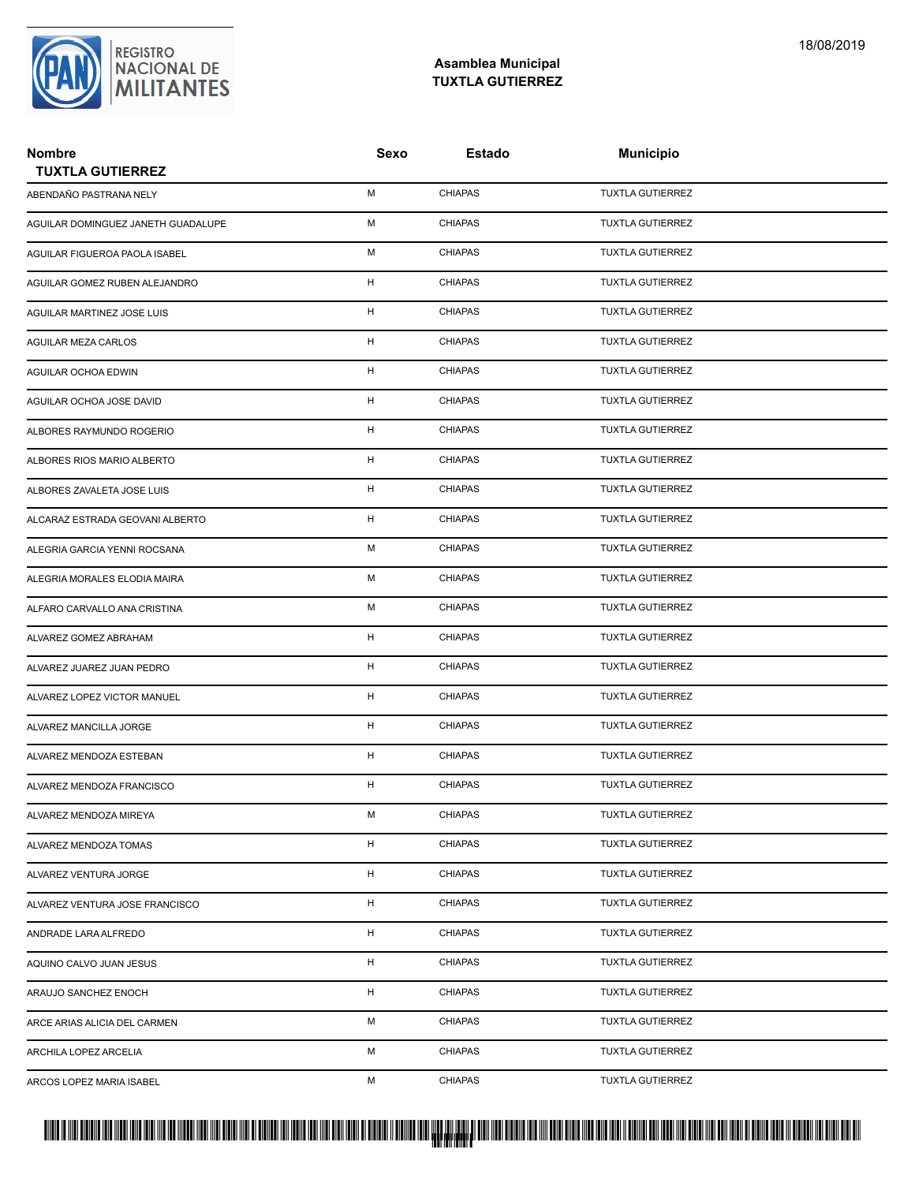

| <b>Nombre</b><br><b>TUXTLA GUTIERREZ</b> | Sexo | Estado         | <b>Municipio</b>        |  |
|------------------------------------------|------|----------------|-------------------------|--|
| ABENDAÑO PASTRANA NELY                   | М    | <b>CHIAPAS</b> | <b>TUXTLA GUTIERREZ</b> |  |
| AGUILAR DOMINGUEZ JANETH GUADALUPE       | М    | <b>CHIAPAS</b> | <b>TUXTLA GUTIERREZ</b> |  |
| AGUILAR FIGUEROA PAOLA ISABEL            | М    | <b>CHIAPAS</b> | <b>TUXTLA GUTIERREZ</b> |  |
| AGUILAR GOMEZ RUBEN ALEJANDRO            | H    | <b>CHIAPAS</b> | <b>TUXTLA GUTIERREZ</b> |  |
| AGUILAR MARTINEZ JOSE LUIS               | H    | <b>CHIAPAS</b> | <b>TUXTLA GUTIERREZ</b> |  |
| AGUILAR MEZA CARLOS                      | H    | <b>CHIAPAS</b> | <b>TUXTLA GUTIERREZ</b> |  |
| AGUILAR OCHOA EDWIN                      | H    | <b>CHIAPAS</b> | <b>TUXTLA GUTIERREZ</b> |  |
| AGUILAR OCHOA JOSE DAVID                 | H    | <b>CHIAPAS</b> | <b>TUXTLA GUTIERREZ</b> |  |
| ALBORES RAYMUNDO ROGERIO                 | H    | <b>CHIAPAS</b> | <b>TUXTLA GUTIERREZ</b> |  |
| ALBORES RIOS MARIO ALBERTO               | H    | <b>CHIAPAS</b> | <b>TUXTLA GUTIERREZ</b> |  |
| ALBORES ZAVALETA JOSE LUIS               | H    | <b>CHIAPAS</b> | <b>TUXTLA GUTIERREZ</b> |  |
| ALCARAZ ESTRADA GEOVANI ALBERTO          | н    | <b>CHIAPAS</b> | <b>TUXTLA GUTIERREZ</b> |  |
| ALEGRIA GARCIA YENNI ROCSANA             | М    | <b>CHIAPAS</b> | <b>TUXTLA GUTIERREZ</b> |  |
| ALEGRIA MORALES ELODIA MAIRA             | М    | <b>CHIAPAS</b> | <b>TUXTLA GUTIERREZ</b> |  |
| ALFARO CARVALLO ANA CRISTINA             | М    | <b>CHIAPAS</b> | <b>TUXTLA GUTIERREZ</b> |  |
| ALVAREZ GOMEZ ABRAHAM                    | H    | <b>CHIAPAS</b> | <b>TUXTLA GUTIERREZ</b> |  |
| ALVAREZ JUAREZ JUAN PEDRO                | H    | <b>CHIAPAS</b> | <b>TUXTLA GUTIERREZ</b> |  |
| ALVAREZ LOPEZ VICTOR MANUEL              | H    | <b>CHIAPAS</b> | <b>TUXTLA GUTIERREZ</b> |  |
| ALVAREZ MANCILLA JORGE                   | H    | <b>CHIAPAS</b> | <b>TUXTLA GUTIERREZ</b> |  |
| ALVAREZ MENDOZA ESTEBAN                  | H    | <b>CHIAPAS</b> | <b>TUXTLA GUTIERREZ</b> |  |
| ALVAREZ MENDOZA FRANCISCO                | H    | <b>CHIAPAS</b> | <b>TUXTLA GUTIERREZ</b> |  |
| ALVAREZ MENDOZA MIREYA                   | М    | <b>CHIAPAS</b> | <b>TUXTLA GUTIERREZ</b> |  |
| ALVAREZ MENDOZA TOMAS                    | H    | <b>CHIAPAS</b> | <b>TUXTLA GUTIERREZ</b> |  |
| ALVAREZ VENTURA JORGE                    | H    | <b>CHIAPAS</b> | <b>TUXTLA GUTIERREZ</b> |  |
| ALVAREZ VENTURA JOSE FRANCISCO           | H    | <b>CHIAPAS</b> | <b>TUXTLA GUTIERREZ</b> |  |
| ANDRADE LARA ALFREDO                     | H    | <b>CHIAPAS</b> | <b>TUXTLA GUTIERREZ</b> |  |
| AQUINO CALVO JUAN JESUS                  | H    | <b>CHIAPAS</b> | <b>TUXTLA GUTIERREZ</b> |  |
| ARAUJO SANCHEZ ENOCH                     | H    | <b>CHIAPAS</b> | <b>TUXTLA GUTIERREZ</b> |  |
| ARCE ARIAS ALICIA DEL CARMEN             | М    | <b>CHIAPAS</b> | <b>TUXTLA GUTIERREZ</b> |  |
| ARCHILA LOPEZ ARCELIA                    | М    | <b>CHIAPAS</b> | <b>TUXTLA GUTIERREZ</b> |  |
| ARCOS LOPEZ MARIA ISABEL                 | М    | <b>CHIAPAS</b> | <b>TUXTLA GUTIERREZ</b> |  |

### PROTUCCION SU REGION DA SU REGIONAL DE MILITAR DA SU REGIONAL DE MILITANTES CONTRADO NACIONAL DE MILITANTES CON <mark>. Pangyakan k</mark>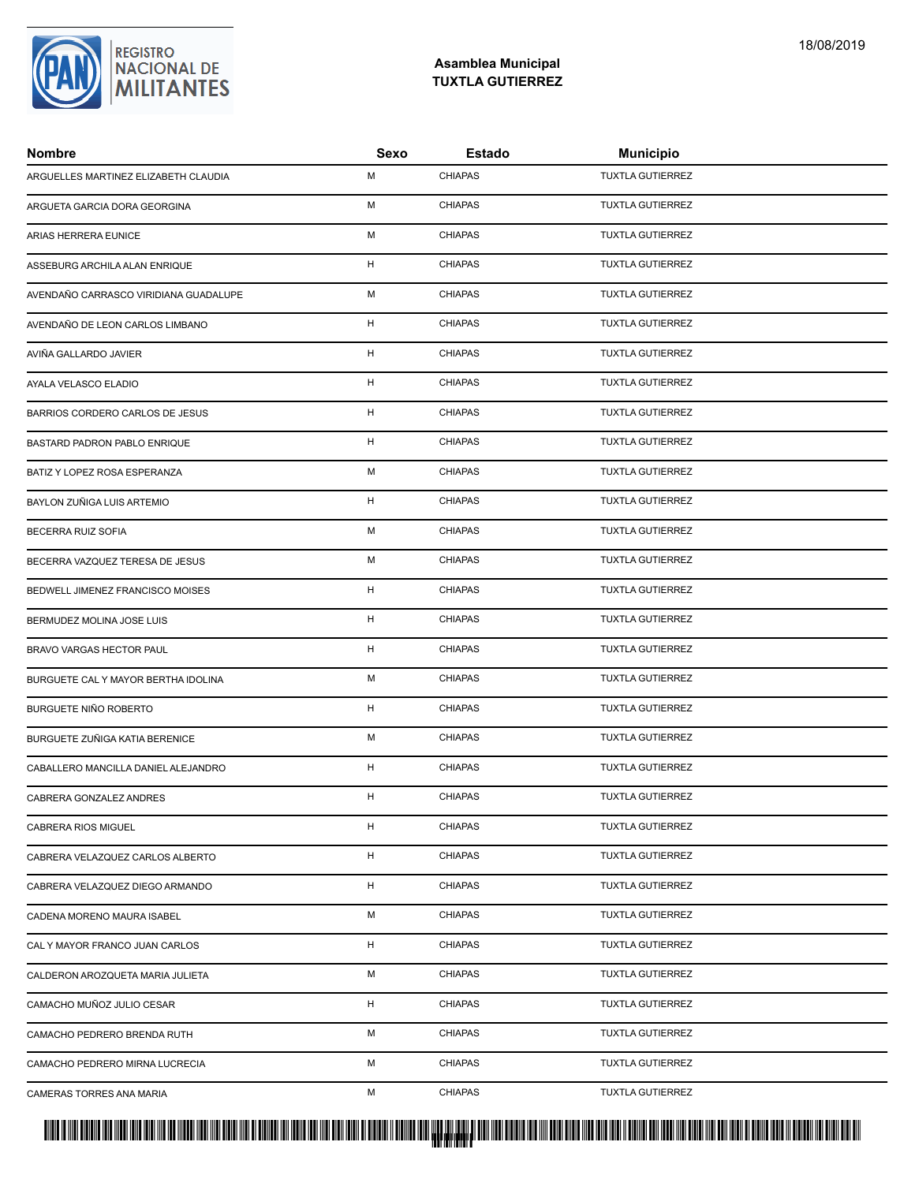### **Asamblea Municipal TUXTLA GUTIERREZ**

| <b>Nombre</b>                         | Sexo         | Estado         | <b>Municipio</b>        |
|---------------------------------------|--------------|----------------|-------------------------|
| ARGUELLES MARTINEZ ELIZABETH CLAUDIA  | M            | <b>CHIAPAS</b> | <b>TUXTLA GUTIERREZ</b> |
| ARGUETA GARCIA DORA GEORGINA          | M            | <b>CHIAPAS</b> | <b>TUXTLA GUTIERREZ</b> |
| ARIAS HERRERA EUNICE                  | M            | <b>CHIAPAS</b> | <b>TUXTLA GUTIERREZ</b> |
| ASSEBURG ARCHILA ALAN ENRIQUE         | H            | <b>CHIAPAS</b> | <b>TUXTLA GUTIERREZ</b> |
| AVENDAÑO CARRASCO VIRIDIANA GUADALUPE | м            | <b>CHIAPAS</b> | <b>TUXTLA GUTIERREZ</b> |
| AVENDAÑO DE LEON CARLOS LIMBANO       | H            | <b>CHIAPAS</b> | <b>TUXTLA GUTIERREZ</b> |
| AVIÑA GALLARDO JAVIER                 | H            | <b>CHIAPAS</b> | <b>TUXTLA GUTIERREZ</b> |
| AYALA VELASCO ELADIO                  | H            | <b>CHIAPAS</b> | <b>TUXTLA GUTIERREZ</b> |
| BARRIOS CORDERO CARLOS DE JESUS       | H            | <b>CHIAPAS</b> | <b>TUXTLA GUTIERREZ</b> |
| BASTARD PADRON PABLO ENRIQUE          | H            | <b>CHIAPAS</b> | <b>TUXTLA GUTIERREZ</b> |
| BATIZ Y LOPEZ ROSA ESPERANZA          | M            | <b>CHIAPAS</b> | <b>TUXTLA GUTIERREZ</b> |
| BAYLON ZUÑIGA LUIS ARTEMIO            | H            | <b>CHIAPAS</b> | <b>TUXTLA GUTIERREZ</b> |
| BECERRA RUIZ SOFIA                    | M            | <b>CHIAPAS</b> | <b>TUXTLA GUTIERREZ</b> |
| BECERRA VAZQUEZ TERESA DE JESUS       | M            | <b>CHIAPAS</b> | <b>TUXTLA GUTIERREZ</b> |
| BEDWELL JIMENEZ FRANCISCO MOISES      | H            | <b>CHIAPAS</b> | <b>TUXTLA GUTIERREZ</b> |
| BERMUDEZ MOLINA JOSE LUIS             | H            | <b>CHIAPAS</b> | <b>TUXTLA GUTIERREZ</b> |
| BRAVO VARGAS HECTOR PAUL              | H            | <b>CHIAPAS</b> | <b>TUXTLA GUTIERREZ</b> |
| BURGUETE CAL Y MAYOR BERTHA IDOLINA   | M            | <b>CHIAPAS</b> | <b>TUXTLA GUTIERREZ</b> |
| BURGUETE NIÑO ROBERTO                 | $\mathsf{H}$ | <b>CHIAPAS</b> | <b>TUXTLA GUTIERREZ</b> |
| BURGUETE ZUÑIGA KATIA BERENICE        | M            | <b>CHIAPAS</b> | <b>TUXTLA GUTIERREZ</b> |
| CABALLERO MANCILLA DANIEL ALEJANDRO   | H            | <b>CHIAPAS</b> | <b>TUXTLA GUTIERREZ</b> |
| CABRERA GONZALEZ ANDRES               | H            | <b>CHIAPAS</b> | <b>TUXTLA GUTIERREZ</b> |
| CABRERA RIOS MIGUEL                   | H            | <b>CHIAPAS</b> | <b>TUXTLA GUTIERREZ</b> |
| CABRERA VELAZQUEZ CARLOS ALBERTO      | H            | <b>CHIAPAS</b> | <b>TUXTLA GUTIERREZ</b> |
| CABRERA VELAZQUEZ DIEGO ARMANDO       | H            | <b>CHIAPAS</b> | <b>TUXTLA GUTIERREZ</b> |
| CADENA MORENO MAURA ISABEL            | М            | <b>CHIAPAS</b> | <b>TUXTLA GUTIERREZ</b> |
| CAL Y MAYOR FRANCO JUAN CARLOS        | H            | <b>CHIAPAS</b> | <b>TUXTLA GUTIERREZ</b> |
| CALDERON AROZQUETA MARIA JULIETA      | M            | <b>CHIAPAS</b> | <b>TUXTLA GUTIERREZ</b> |
| CAMACHO MUÑOZ JULIO CESAR             | H            | <b>CHIAPAS</b> | <b>TUXTLA GUTIERREZ</b> |
| CAMACHO PEDRERO BRENDA RUTH           | м            | <b>CHIAPAS</b> | <b>TUXTLA GUTIERREZ</b> |
| CAMACHO PEDRERO MIRNA LUCRECIA        | М            | <b>CHIAPAS</b> | <b>TUXTLA GUTIERREZ</b> |
| CAMERAS TORRES ANA MARIA              | М            | <b>CHIAPAS</b> | <b>TUXTLA GUTIERREZ</b> |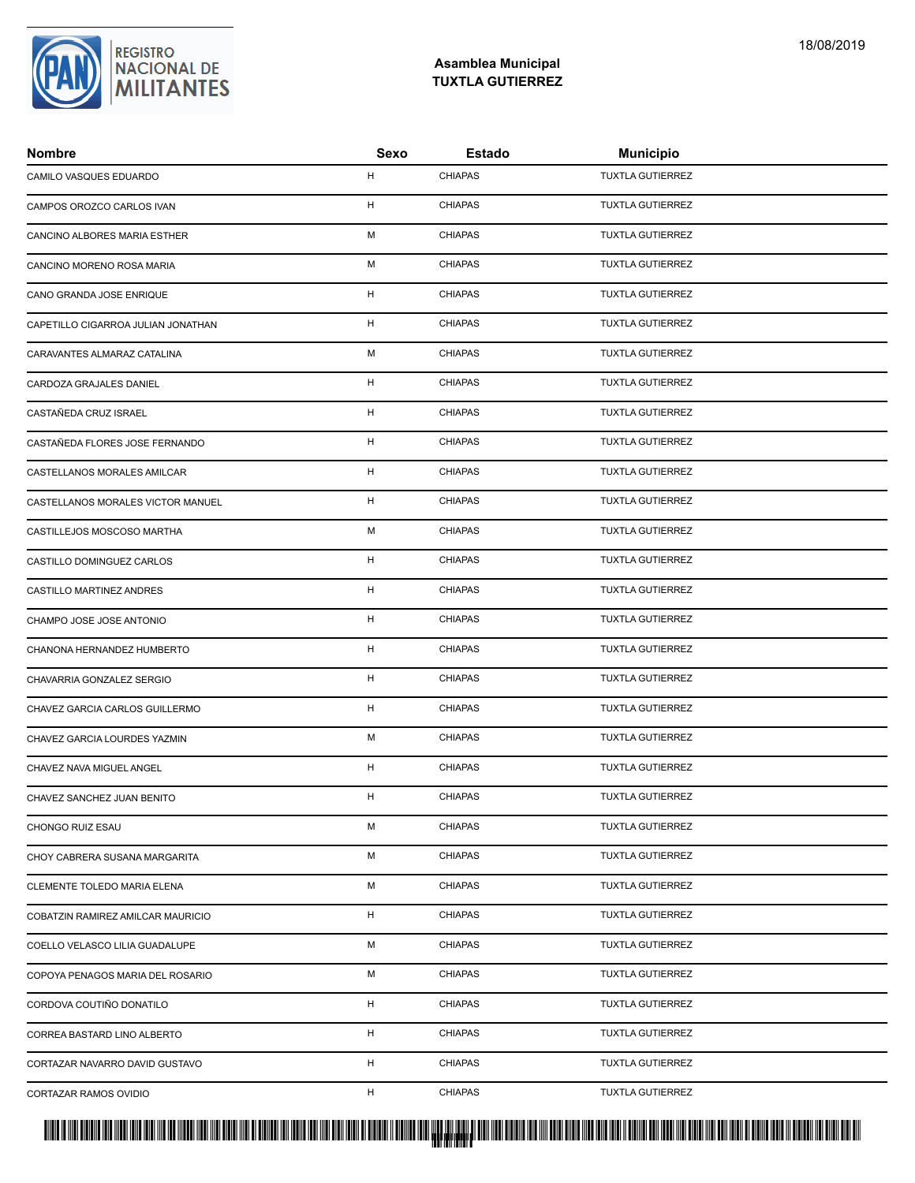### **Asamblea Municipal TUXTLA GUTIERREZ**

| <b>Nombre</b>                      | Sexo | Estado         | <b>Municipio</b>        |
|------------------------------------|------|----------------|-------------------------|
| CAMILO VASQUES EDUARDO             | H    | <b>CHIAPAS</b> | <b>TUXTLA GUTIERREZ</b> |
| CAMPOS OROZCO CARLOS IVAN          | H    | <b>CHIAPAS</b> | <b>TUXTLA GUTIERREZ</b> |
| CANCINO ALBORES MARIA ESTHER       | M    | <b>CHIAPAS</b> | <b>TUXTLA GUTIERREZ</b> |
| CANCINO MORENO ROSA MARIA          | M    | <b>CHIAPAS</b> | <b>TUXTLA GUTIERREZ</b> |
| CANO GRANDA JOSE ENRIQUE           | H    | <b>CHIAPAS</b> | <b>TUXTLA GUTIERREZ</b> |
| CAPETILLO CIGARROA JULIAN JONATHAN | H    | <b>CHIAPAS</b> | <b>TUXTLA GUTIERREZ</b> |
| CARAVANTES ALMARAZ CATALINA        | M    | <b>CHIAPAS</b> | <b>TUXTLA GUTIERREZ</b> |
| CARDOZA GRAJALES DANIEL            | H    | <b>CHIAPAS</b> | <b>TUXTLA GUTIERREZ</b> |
| CASTAÑEDA CRUZ ISRAEL              | H    | <b>CHIAPAS</b> | <b>TUXTLA GUTIERREZ</b> |
| CASTAÑEDA FLORES JOSE FERNANDO     | H    | <b>CHIAPAS</b> | <b>TUXTLA GUTIERREZ</b> |
| CASTELLANOS MORALES AMILCAR        | H    | <b>CHIAPAS</b> | <b>TUXTLA GUTIERREZ</b> |
| CASTELLANOS MORALES VICTOR MANUEL  | H    | <b>CHIAPAS</b> | <b>TUXTLA GUTIERREZ</b> |
| CASTILLEJOS MOSCOSO MARTHA         | M    | <b>CHIAPAS</b> | <b>TUXTLA GUTIERREZ</b> |
| CASTILLO DOMINGUEZ CARLOS          | H    | <b>CHIAPAS</b> | <b>TUXTLA GUTIERREZ</b> |
| CASTILLO MARTINEZ ANDRES           | H    | <b>CHIAPAS</b> | <b>TUXTLA GUTIERREZ</b> |
| CHAMPO JOSE JOSE ANTONIO           | H    | <b>CHIAPAS</b> | <b>TUXTLA GUTIERREZ</b> |
| CHANONA HERNANDEZ HUMBERTO         | H    | <b>CHIAPAS</b> | <b>TUXTLA GUTIERREZ</b> |
| CHAVARRIA GONZALEZ SERGIO          | H    | <b>CHIAPAS</b> | <b>TUXTLA GUTIERREZ</b> |
| CHAVEZ GARCIA CARLOS GUILLERMO     | H    | <b>CHIAPAS</b> | TUXTLA GUTIERREZ        |
| CHAVEZ GARCIA LOURDES YAZMIN       | M    | <b>CHIAPAS</b> | <b>TUXTLA GUTIERREZ</b> |
| CHAVEZ NAVA MIGUEL ANGEL           | H    | <b>CHIAPAS</b> | <b>TUXTLA GUTIERREZ</b> |
| CHAVEZ SANCHEZ JUAN BENITO         | H    | <b>CHIAPAS</b> | <b>TUXTLA GUTIERREZ</b> |
| CHONGO RUIZ ESAU                   | M    | <b>CHIAPAS</b> | <b>TUXTLA GUTIERREZ</b> |
| CHOY CABRERA SUSANA MARGARITA      | м    | <b>CHIAPAS</b> | <b>TUXTLA GUTIERREZ</b> |
| CLEMENTE TOLEDO MARIA ELENA        | М    | <b>CHIAPAS</b> | <b>TUXTLA GUTIERREZ</b> |
| COBATZIN RAMIREZ AMILCAR MAURICIO  | H    | <b>CHIAPAS</b> | <b>TUXTLA GUTIERREZ</b> |
| COELLO VELASCO LILIA GUADALUPE     | M    | <b>CHIAPAS</b> | <b>TUXTLA GUTIERREZ</b> |
| COPOYA PENAGOS MARIA DEL ROSARIO   | M    | <b>CHIAPAS</b> | <b>TUXTLA GUTIERREZ</b> |
| CORDOVA COUTIÑO DONATILO           | H    | <b>CHIAPAS</b> | <b>TUXTLA GUTIERREZ</b> |
| CORREA BASTARD LINO ALBERTO        | H    | <b>CHIAPAS</b> | <b>TUXTLA GUTIERREZ</b> |
| CORTAZAR NAVARRO DAVID GUSTAVO     | H    | <b>CHIAPAS</b> | <b>TUXTLA GUTIERREZ</b> |
| CORTAZAR RAMOS OVIDIO              | H    | <b>CHIAPAS</b> | <b>TUXTLA GUTIERREZ</b> |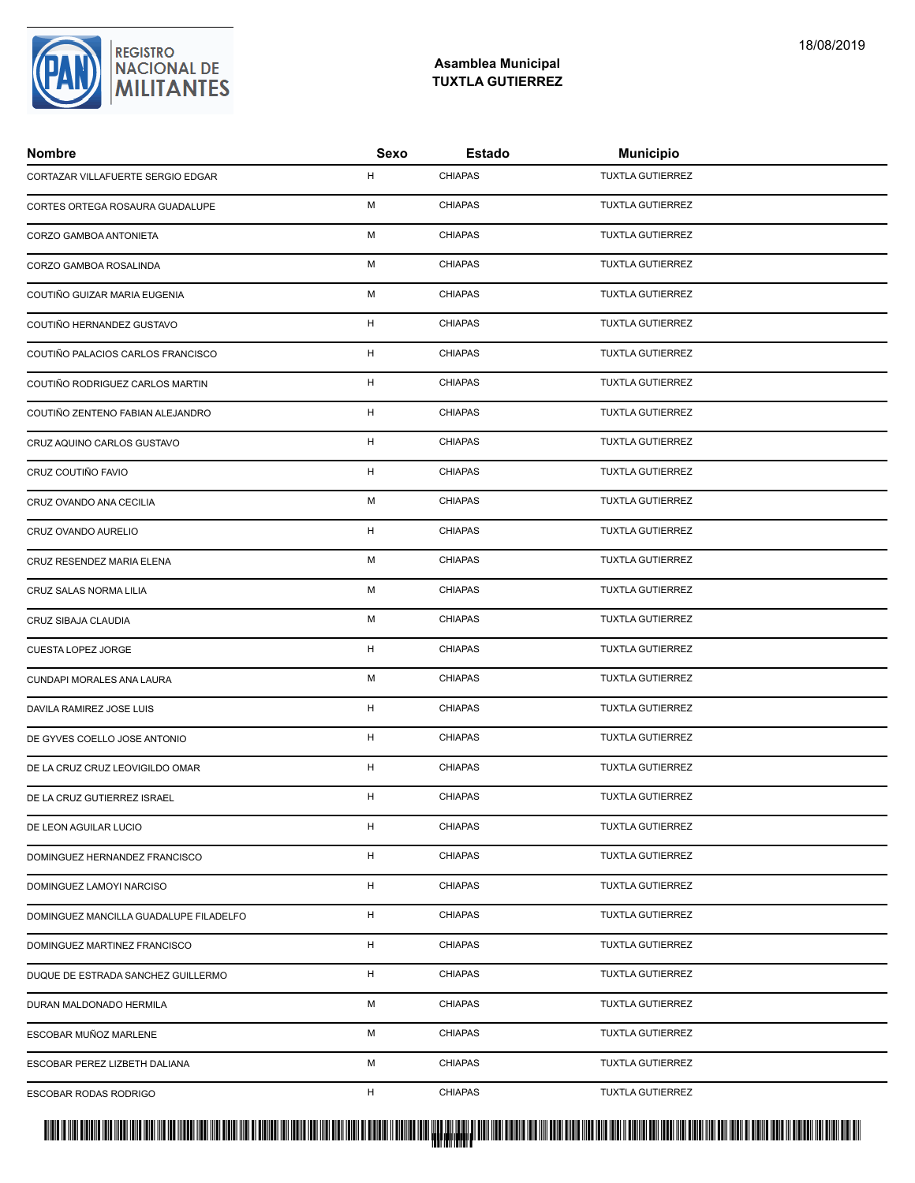

| <b>Nombre</b>                          | Sexo         | <b>Estado</b>  | <b>Municipio</b>        |
|----------------------------------------|--------------|----------------|-------------------------|
| CORTAZAR VILLAFUERTE SERGIO EDGAR      | H            | <b>CHIAPAS</b> | <b>TUXTLA GUTIERREZ</b> |
| CORTES ORTEGA ROSAURA GUADALUPE        | M            | <b>CHIAPAS</b> | <b>TUXTLA GUTIERREZ</b> |
| CORZO GAMBOA ANTONIETA                 | M            | <b>CHIAPAS</b> | <b>TUXTLA GUTIERREZ</b> |
| CORZO GAMBOA ROSALINDA                 | M            | <b>CHIAPAS</b> | <b>TUXTLA GUTIERREZ</b> |
| COUTIÑO GUIZAR MARIA EUGENIA           | м            | <b>CHIAPAS</b> | <b>TUXTLA GUTIERREZ</b> |
| COUTIÑO HERNANDEZ GUSTAVO              | H            | <b>CHIAPAS</b> | <b>TUXTLA GUTIERREZ</b> |
| COUTIÑO PALACIOS CARLOS FRANCISCO      | H            | <b>CHIAPAS</b> | <b>TUXTLA GUTIERREZ</b> |
| COUTIÑO RODRIGUEZ CARLOS MARTIN        | H            | <b>CHIAPAS</b> | <b>TUXTLA GUTIERREZ</b> |
| COUTIÑO ZENTENO FABIAN ALEJANDRO       | $\mathsf{H}$ | <b>CHIAPAS</b> | <b>TUXTLA GUTIERREZ</b> |
| CRUZ AQUINO CARLOS GUSTAVO             | H            | <b>CHIAPAS</b> | <b>TUXTLA GUTIERREZ</b> |
| CRUZ COUTIÑO FAVIO                     | H            | <b>CHIAPAS</b> | <b>TUXTLA GUTIERREZ</b> |
| CRUZ OVANDO ANA CECILIA                | M            | <b>CHIAPAS</b> | <b>TUXTLA GUTIERREZ</b> |
| CRUZ OVANDO AURELIO                    | H            | <b>CHIAPAS</b> | <b>TUXTLA GUTIERREZ</b> |
| CRUZ RESENDEZ MARIA ELENA              | M            | <b>CHIAPAS</b> | <b>TUXTLA GUTIERREZ</b> |
| CRUZ SALAS NORMA LILIA                 | м            | <b>CHIAPAS</b> | <b>TUXTLA GUTIERREZ</b> |
| CRUZ SIBAJA CLAUDIA                    | M            | <b>CHIAPAS</b> | <b>TUXTLA GUTIERREZ</b> |
| CUESTA LOPEZ JORGE                     | H            | <b>CHIAPAS</b> | <b>TUXTLA GUTIERREZ</b> |
| CUNDAPI MORALES ANA LAURA              | M            | <b>CHIAPAS</b> | <b>TUXTLA GUTIERREZ</b> |
| DAVILA RAMIREZ JOSE LUIS               | H            | <b>CHIAPAS</b> | TUXTLA GUTIERREZ        |
| DE GYVES COELLO JOSE ANTONIO           | H            | <b>CHIAPAS</b> | <b>TUXTLA GUTIERREZ</b> |
| DE LA CRUZ CRUZ LEOVIGILDO OMAR        | H            | <b>CHIAPAS</b> | <b>TUXTLA GUTIERREZ</b> |
| DE LA CRUZ GUTIERREZ ISRAEL            | H            | <b>CHIAPAS</b> | <b>TUXTLA GUTIERREZ</b> |
| DE LEON AGUILAR LUCIO                  | H            | <b>CHIAPAS</b> | <b>TUXTLA GUTIERREZ</b> |
| DOMINGUEZ HERNANDEZ FRANCISCO          | H            | <b>CHIAPAS</b> | <b>TUXTLA GUTIERREZ</b> |
| DOMINGUEZ LAMOYI NARCISO               | H            | <b>CHIAPAS</b> | <b>TUXTLA GUTIERREZ</b> |
| DOMINGUEZ MANCILLA GUADALUPE FILADELFO | H            | <b>CHIAPAS</b> | <b>TUXTLA GUTIERREZ</b> |
| DOMINGUEZ MARTINEZ FRANCISCO           | H            | <b>CHIAPAS</b> | <b>TUXTLA GUTIERREZ</b> |
| DUQUE DE ESTRADA SANCHEZ GUILLERMO     | H            | <b>CHIAPAS</b> | <b>TUXTLA GUTIERREZ</b> |
| DURAN MALDONADO HERMILA                | М            | <b>CHIAPAS</b> | <b>TUXTLA GUTIERREZ</b> |
| ESCOBAR MUÑOZ MARLENE                  | м            | <b>CHIAPAS</b> | <b>TUXTLA GUTIERREZ</b> |
| ESCOBAR PEREZ LIZBETH DALIANA          | М            | <b>CHIAPAS</b> | <b>TUXTLA GUTIERREZ</b> |
| ESCOBAR RODAS RODRIGO                  | H            | <b>CHIAPAS</b> | <b>TUXTLA GUTIERREZ</b> |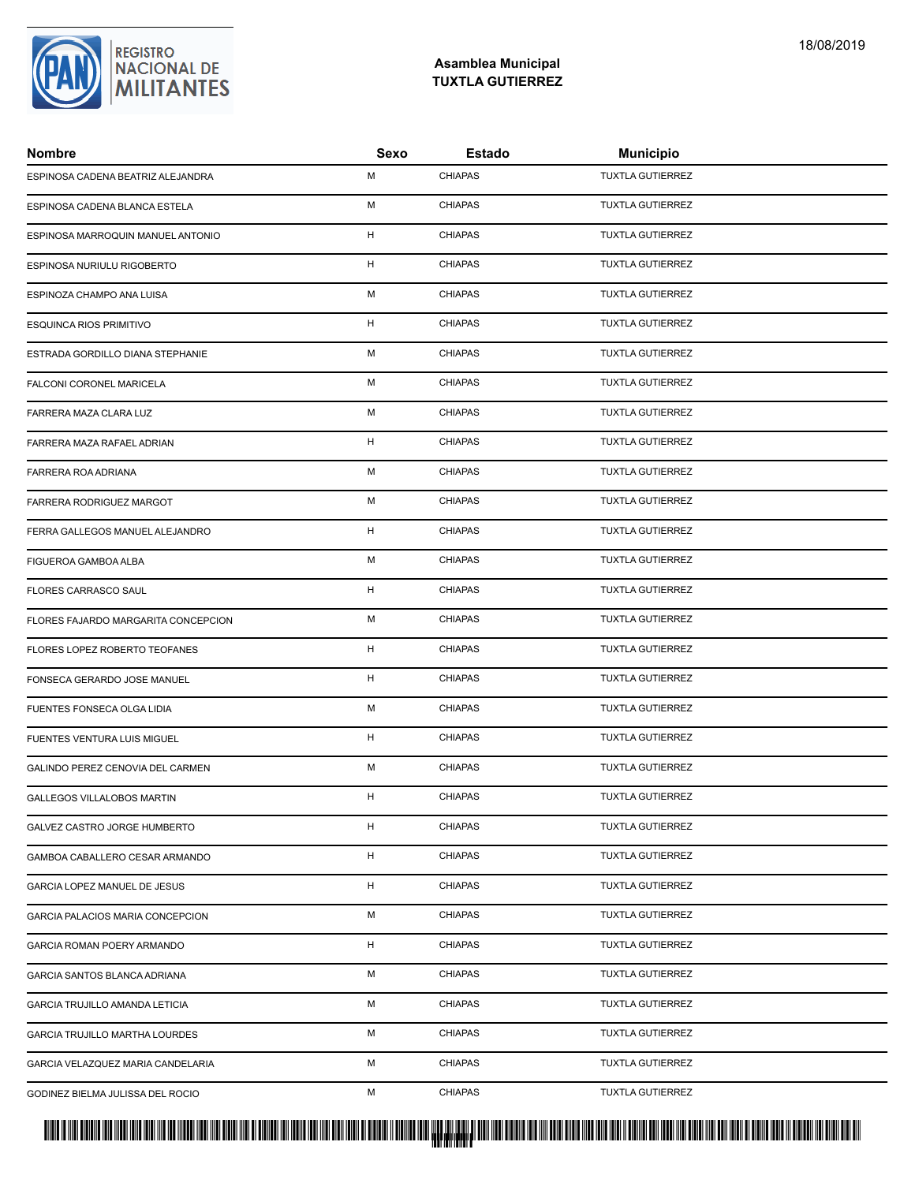### **Asamblea Municipal TUXTLA GUTIERREZ**

| <b>Nombre</b>                       | Sexo | Estado         | <b>Municipio</b>        |
|-------------------------------------|------|----------------|-------------------------|
| ESPINOSA CADENA BEATRIZ ALEJANDRA   | M    | <b>CHIAPAS</b> | <b>TUXTLA GUTIERREZ</b> |
| ESPINOSA CADENA BLANCA ESTELA       | M    | <b>CHIAPAS</b> | <b>TUXTLA GUTIERREZ</b> |
| ESPINOSA MARROQUIN MANUEL ANTONIO   | H    | <b>CHIAPAS</b> | <b>TUXTLA GUTIERREZ</b> |
| ESPINOSA NURIULU RIGOBERTO          | H    | <b>CHIAPAS</b> | <b>TUXTLA GUTIERREZ</b> |
| ESPINOZA CHAMPO ANA LUISA           | м    | <b>CHIAPAS</b> | <b>TUXTLA GUTIERREZ</b> |
| ESQUINCA RIOS PRIMITIVO             | H    | <b>CHIAPAS</b> | <b>TUXTLA GUTIERREZ</b> |
| ESTRADA GORDILLO DIANA STEPHANIE    | M    | <b>CHIAPAS</b> | <b>TUXTLA GUTIERREZ</b> |
| FALCONI CORONEL MARICELA            | M    | <b>CHIAPAS</b> | <b>TUXTLA GUTIERREZ</b> |
| FARRERA MAZA CLARA LUZ              | M    | <b>CHIAPAS</b> | <b>TUXTLA GUTIERREZ</b> |
| FARRERA MAZA RAFAEL ADRIAN          | H    | <b>CHIAPAS</b> | <b>TUXTLA GUTIERREZ</b> |
| FARRERA ROA ADRIANA                 | M    | <b>CHIAPAS</b> | <b>TUXTLA GUTIERREZ</b> |
| FARRERA RODRIGUEZ MARGOT            | M    | <b>CHIAPAS</b> | <b>TUXTLA GUTIERREZ</b> |
| FERRA GALLEGOS MANUEL ALEJANDRO     | H    | <b>CHIAPAS</b> | <b>TUXTLA GUTIERREZ</b> |
| FIGUEROA GAMBOA ALBA                | M    | <b>CHIAPAS</b> | <b>TUXTLA GUTIERREZ</b> |
| FLORES CARRASCO SAUL                | H    | <b>CHIAPAS</b> | <b>TUXTLA GUTIERREZ</b> |
| FLORES FAJARDO MARGARITA CONCEPCION | M    | <b>CHIAPAS</b> | <b>TUXTLA GUTIERREZ</b> |
| FLORES LOPEZ ROBERTO TEOFANES       | H    | <b>CHIAPAS</b> | <b>TUXTLA GUTIERREZ</b> |
| FONSECA GERARDO JOSE MANUEL         | H    | <b>CHIAPAS</b> | <b>TUXTLA GUTIERREZ</b> |
| FUENTES FONSECA OLGA LIDIA          | M    | <b>CHIAPAS</b> | <b>TUXTLA GUTIERREZ</b> |
| FUENTES VENTURA LUIS MIGUEL         | H    | <b>CHIAPAS</b> | <b>TUXTLA GUTIERREZ</b> |
| GALINDO PEREZ CENOVIA DEL CARMEN    | M    | <b>CHIAPAS</b> | <b>TUXTLA GUTIERREZ</b> |
| <b>GALLEGOS VILLALOBOS MARTIN</b>   | H    | <b>CHIAPAS</b> | <b>TUXTLA GUTIERREZ</b> |
| GALVEZ CASTRO JORGE HUMBERTO        | H    | <b>CHIAPAS</b> | <b>TUXTLA GUTIERREZ</b> |
| GAMBOA CABALLERO CESAR ARMANDO      | H    | <b>CHIAPAS</b> | <b>TUXTLA GUTIERREZ</b> |
| GARCIA LOPEZ MANUEL DE JESUS        | H    | <b>CHIAPAS</b> | <b>TUXTLA GUTIERREZ</b> |
| GARCIA PALACIOS MARIA CONCEPCION    | М    | <b>CHIAPAS</b> | <b>TUXTLA GUTIERREZ</b> |
| GARCIA ROMAN POERY ARMANDO          | H    | <b>CHIAPAS</b> | <b>TUXTLA GUTIERREZ</b> |
| GARCIA SANTOS BLANCA ADRIANA        | M    | <b>CHIAPAS</b> | <b>TUXTLA GUTIERREZ</b> |
| GARCIA TRUJILLO AMANDA LETICIA      | М    | <b>CHIAPAS</b> | <b>TUXTLA GUTIERREZ</b> |
| GARCIA TRUJILLO MARTHA LOURDES      | М    | <b>CHIAPAS</b> | <b>TUXTLA GUTIERREZ</b> |
| GARCIA VELAZQUEZ MARIA CANDELARIA   | М    | <b>CHIAPAS</b> | <b>TUXTLA GUTIERREZ</b> |
| GODINEZ BIELMA JULISSA DEL ROCIO    | М    | <b>CHIAPAS</b> | TUXTLA GUTIERREZ        |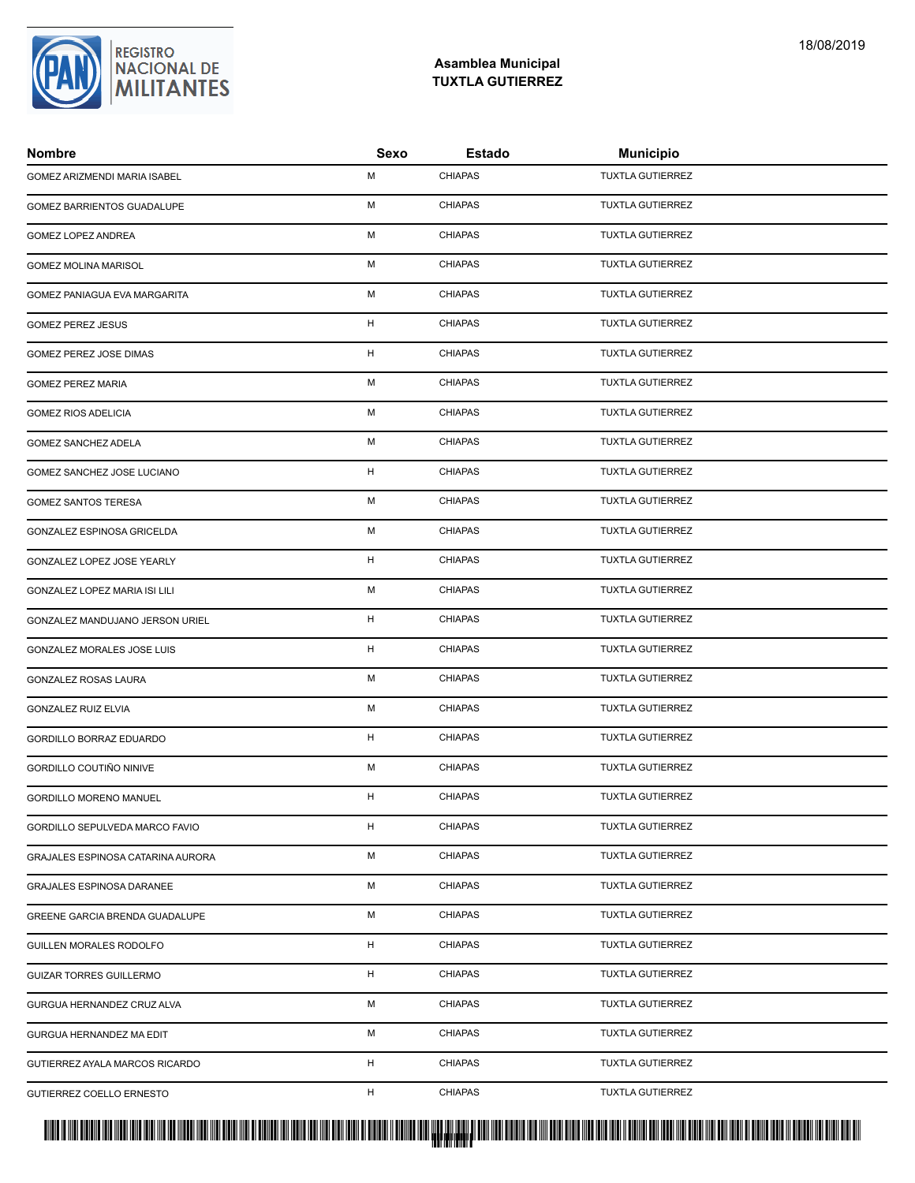### **Asamblea Municipal TUXTLA GUTIERREZ**

| <b>Nombre</b>                     | Sexo | <b>Estado</b>  | <b>Municipio</b>        |
|-----------------------------------|------|----------------|-------------------------|
| GOMEZ ARIZMENDI MARIA ISABEL      | M    | <b>CHIAPAS</b> | <b>TUXTLA GUTIERREZ</b> |
| GOMEZ BARRIENTOS GUADALUPE        | M    | <b>CHIAPAS</b> | <b>TUXTLA GUTIERREZ</b> |
| GOMEZ LOPEZ ANDREA                | M    | <b>CHIAPAS</b> | <b>TUXTLA GUTIERREZ</b> |
| <b>GOMEZ MOLINA MARISOL</b>       | M    | <b>CHIAPAS</b> | <b>TUXTLA GUTIERREZ</b> |
| GOMEZ PANIAGUA EVA MARGARITA      | м    | <b>CHIAPAS</b> | <b>TUXTLA GUTIERREZ</b> |
| <b>GOMEZ PEREZ JESUS</b>          | H    | <b>CHIAPAS</b> | <b>TUXTLA GUTIERREZ</b> |
| GOMEZ PEREZ JOSE DIMAS            | H    | <b>CHIAPAS</b> | <b>TUXTLA GUTIERREZ</b> |
| <b>GOMEZ PEREZ MARIA</b>          | M    | <b>CHIAPAS</b> | <b>TUXTLA GUTIERREZ</b> |
| <b>GOMEZ RIOS ADELICIA</b>        | M    | <b>CHIAPAS</b> | <b>TUXTLA GUTIERREZ</b> |
| GOMEZ SANCHEZ ADELA               | M    | <b>CHIAPAS</b> | <b>TUXTLA GUTIERREZ</b> |
| GOMEZ SANCHEZ JOSE LUCIANO        | H    | <b>CHIAPAS</b> | <b>TUXTLA GUTIERREZ</b> |
| <b>GOMEZ SANTOS TERESA</b>        | M    | <b>CHIAPAS</b> | <b>TUXTLA GUTIERREZ</b> |
| GONZALEZ ESPINOSA GRICELDA        | M    | <b>CHIAPAS</b> | <b>TUXTLA GUTIERREZ</b> |
| GONZALEZ LOPEZ JOSE YEARLY        | H    | <b>CHIAPAS</b> | <b>TUXTLA GUTIERREZ</b> |
| GONZALEZ LOPEZ MARIA ISI LILI     | м    | <b>CHIAPAS</b> | <b>TUXTLA GUTIERREZ</b> |
| GONZALEZ MANDUJANO JERSON URIEL   | H    | <b>CHIAPAS</b> | <b>TUXTLA GUTIERREZ</b> |
| GONZALEZ MORALES JOSE LUIS        | H    | <b>CHIAPAS</b> | <b>TUXTLA GUTIERREZ</b> |
| GONZALEZ ROSAS LAURA              | M    | <b>CHIAPAS</b> | <b>TUXTLA GUTIERREZ</b> |
| <b>GONZALEZ RUIZ ELVIA</b>        | M    | <b>CHIAPAS</b> | TUXTLA GUTIERREZ        |
| GORDILLO BORRAZ EDUARDO           | H    | <b>CHIAPAS</b> | <b>TUXTLA GUTIERREZ</b> |
| GORDILLO COUTIÑO NINIVE           | M    | <b>CHIAPAS</b> | <b>TUXTLA GUTIERREZ</b> |
| GORDILLO MORENO MANUEL            | H    | <b>CHIAPAS</b> | <b>TUXTLA GUTIERREZ</b> |
| GORDILLO SEPULVEDA MARCO FAVIO    | H    | <b>CHIAPAS</b> | <b>TUXTLA GUTIERREZ</b> |
| GRAJALES ESPINOSA CATARINA AURORA | м    | <b>CHIAPAS</b> | <b>TUXTLA GUTIERREZ</b> |
| GRAJALES ESPINOSA DARANEE         | М    | <b>CHIAPAS</b> | <b>TUXTLA GUTIERREZ</b> |
| GREENE GARCIA BRENDA GUADALUPE    | М    | <b>CHIAPAS</b> | <b>TUXTLA GUTIERREZ</b> |
| GUILLEN MORALES RODOLFO           | H    | <b>CHIAPAS</b> | <b>TUXTLA GUTIERREZ</b> |
| <b>GUIZAR TORRES GUILLERMO</b>    | H    | <b>CHIAPAS</b> | <b>TUXTLA GUTIERREZ</b> |
| GURGUA HERNANDEZ CRUZ ALVA        | М    | <b>CHIAPAS</b> | <b>TUXTLA GUTIERREZ</b> |
| GURGUA HERNANDEZ MA EDIT          | М    | <b>CHIAPAS</b> | <b>TUXTLA GUTIERREZ</b> |
| GUTIERREZ AYALA MARCOS RICARDO    | H    | <b>CHIAPAS</b> | <b>TUXTLA GUTIERREZ</b> |
| GUTIERREZ COELLO ERNESTO          | H    | <b>CHIAPAS</b> | TUXTLA GUTIERREZ        |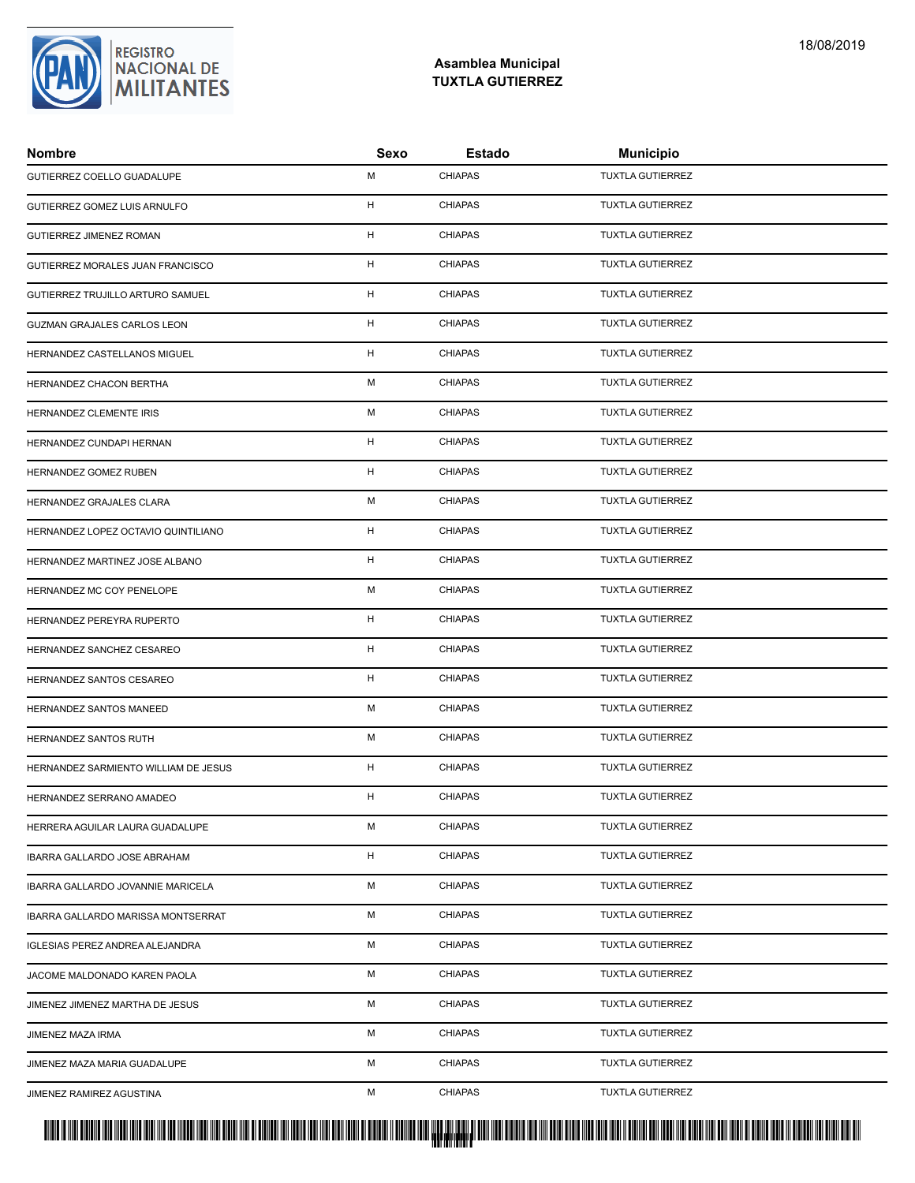### **Asamblea Municipal TUXTLA GUTIERREZ**

| <b>Nombre</b>                        | Sexo | Estado         | <b>Municipio</b>        |
|--------------------------------------|------|----------------|-------------------------|
| GUTIERREZ COELLO GUADALUPE           | M    | <b>CHIAPAS</b> | <b>TUXTLA GUTIERREZ</b> |
| GUTIERREZ GOMEZ LUIS ARNULFO         | H    | <b>CHIAPAS</b> | <b>TUXTLA GUTIERREZ</b> |
| GUTIERREZ JIMENEZ ROMAN              | H    | <b>CHIAPAS</b> | <b>TUXTLA GUTIERREZ</b> |
| GUTIERREZ MORALES JUAN FRANCISCO     | H    | <b>CHIAPAS</b> | <b>TUXTLA GUTIERREZ</b> |
| GUTIERREZ TRUJILLO ARTURO SAMUEL     | H    | <b>CHIAPAS</b> | <b>TUXTLA GUTIERREZ</b> |
| GUZMAN GRAJALES CARLOS LEON          | H    | <b>CHIAPAS</b> | <b>TUXTLA GUTIERREZ</b> |
| HERNANDEZ CASTELLANOS MIGUEL         | H    | <b>CHIAPAS</b> | <b>TUXTLA GUTIERREZ</b> |
| HERNANDEZ CHACON BERTHA              | M    | <b>CHIAPAS</b> | <b>TUXTLA GUTIERREZ</b> |
| HERNANDEZ CLEMENTE IRIS              | M    | <b>CHIAPAS</b> | <b>TUXTLA GUTIERREZ</b> |
| HERNANDEZ CUNDAPI HERNAN             | H    | <b>CHIAPAS</b> | <b>TUXTLA GUTIERREZ</b> |
| HERNANDEZ GOMEZ RUBEN                | H    | <b>CHIAPAS</b> | <b>TUXTLA GUTIERREZ</b> |
| HERNANDEZ GRAJALES CLARA             | M    | <b>CHIAPAS</b> | <b>TUXTLA GUTIERREZ</b> |
| HERNANDEZ LOPEZ OCTAVIO QUINTILIANO  | H    | <b>CHIAPAS</b> | <b>TUXTLA GUTIERREZ</b> |
| HERNANDEZ MARTINEZ JOSE ALBANO       | H    | <b>CHIAPAS</b> | <b>TUXTLA GUTIERREZ</b> |
| HERNANDEZ MC COY PENELOPE            | м    | <b>CHIAPAS</b> | <b>TUXTLA GUTIERREZ</b> |
| HERNANDEZ PEREYRA RUPERTO            | H    | <b>CHIAPAS</b> | <b>TUXTLA GUTIERREZ</b> |
| HERNANDEZ SANCHEZ CESAREO            | H    | <b>CHIAPAS</b> | <b>TUXTLA GUTIERREZ</b> |
| HERNANDEZ SANTOS CESAREO             | H    | <b>CHIAPAS</b> | <b>TUXTLA GUTIERREZ</b> |
| HERNANDEZ SANTOS MANEED              | M    | <b>CHIAPAS</b> | TUXTLA GUTIERREZ        |
| HERNANDEZ SANTOS RUTH                | M    | <b>CHIAPAS</b> | <b>TUXTLA GUTIERREZ</b> |
| HERNANDEZ SARMIENTO WILLIAM DE JESUS | H    | <b>CHIAPAS</b> | <b>TUXTLA GUTIERREZ</b> |
| HERNANDEZ SERRANO AMADEO             | H    | <b>CHIAPAS</b> | <b>TUXTLA GUTIERREZ</b> |
| HERRERA AGUILAR LAURA GUADALUPE      | M    | <b>CHIAPAS</b> | <b>TUXTLA GUTIERREZ</b> |
| IBARRA GALLARDO JOSE ABRAHAM         | H    | <b>CHIAPAS</b> | <b>TUXTLA GUTIERREZ</b> |
| IBARRA GALLARDO JOVANNIE MARICELA    | М    | <b>CHIAPAS</b> | <b>TUXTLA GUTIERREZ</b> |
| IBARRA GALLARDO MARISSA MONTSERRAT   | М    | <b>CHIAPAS</b> | <b>TUXTLA GUTIERREZ</b> |
| IGLESIAS PEREZ ANDREA ALEJANDRA      | M    | <b>CHIAPAS</b> | <b>TUXTLA GUTIERREZ</b> |
| JACOME MALDONADO KAREN PAOLA         | M    | <b>CHIAPAS</b> | <b>TUXTLA GUTIERREZ</b> |
| JIMENEZ JIMENEZ MARTHA DE JESUS      | М    | <b>CHIAPAS</b> | <b>TUXTLA GUTIERREZ</b> |
| JIMENEZ MAZA IRMA                    | м    | <b>CHIAPAS</b> | <b>TUXTLA GUTIERREZ</b> |
| JIMENEZ MAZA MARIA GUADALUPE         | М    | <b>CHIAPAS</b> | <b>TUXTLA GUTIERREZ</b> |
| JIMENEZ RAMIREZ AGUSTINA             | М    | <b>CHIAPAS</b> | <b>TUXTLA GUTIERREZ</b> |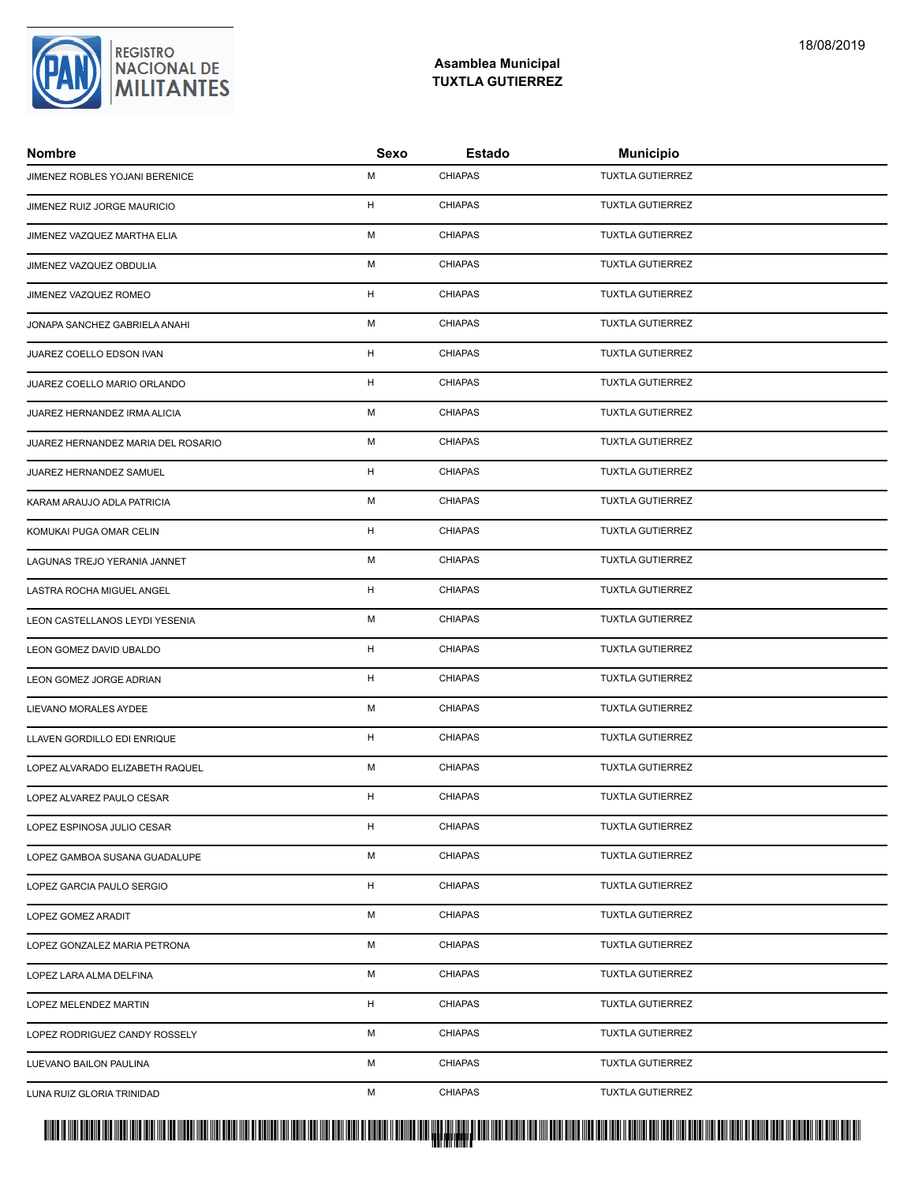### **Asamblea Municipal TUXTLA GUTIERREZ**

| <b>Nombre</b>                      | Sexo | Estado         | <b>Municipio</b>        |
|------------------------------------|------|----------------|-------------------------|
| JIMENEZ ROBLES YOJANI BERENICE     | M    | <b>CHIAPAS</b> | <b>TUXTLA GUTIERREZ</b> |
| JIMENEZ RUIZ JORGE MAURICIO        | H    | <b>CHIAPAS</b> | <b>TUXTLA GUTIERREZ</b> |
| JIMENEZ VAZQUEZ MARTHA ELIA        | M    | <b>CHIAPAS</b> | <b>TUXTLA GUTIERREZ</b> |
| JIMENEZ VAZQUEZ OBDULIA            | M    | <b>CHIAPAS</b> | <b>TUXTLA GUTIERREZ</b> |
| JIMENEZ VAZQUEZ ROMEO              | H    | <b>CHIAPAS</b> | <b>TUXTLA GUTIERREZ</b> |
| JONAPA SANCHEZ GABRIELA ANAHI      | M    | <b>CHIAPAS</b> | <b>TUXTLA GUTIERREZ</b> |
| JUAREZ COELLO EDSON IVAN           | H    | <b>CHIAPAS</b> | <b>TUXTLA GUTIERREZ</b> |
| JUAREZ COELLO MARIO ORLANDO        | H    | <b>CHIAPAS</b> | <b>TUXTLA GUTIERREZ</b> |
| JUAREZ HERNANDEZ IRMA ALICIA       | M    | <b>CHIAPAS</b> | <b>TUXTLA GUTIERREZ</b> |
| JUAREZ HERNANDEZ MARIA DEL ROSARIO | М    | <b>CHIAPAS</b> | <b>TUXTLA GUTIERREZ</b> |
| JUAREZ HERNANDEZ SAMUEL            | H    | <b>CHIAPAS</b> | <b>TUXTLA GUTIERREZ</b> |
| KARAM ARAUJO ADLA PATRICIA         | M    | <b>CHIAPAS</b> | <b>TUXTLA GUTIERREZ</b> |
| KOMUKAI PUGA OMAR CELIN            | H    | <b>CHIAPAS</b> | <b>TUXTLA GUTIERREZ</b> |
| LAGUNAS TREJO YERANIA JANNET       | M    | <b>CHIAPAS</b> | <b>TUXTLA GUTIERREZ</b> |
| LASTRA ROCHA MIGUEL ANGEL          | H    | <b>CHIAPAS</b> | <b>TUXTLA GUTIERREZ</b> |
| LEON CASTELLANOS LEYDI YESENIA     | M    | <b>CHIAPAS</b> | <b>TUXTLA GUTIERREZ</b> |
| LEON GOMEZ DAVID UBALDO            | H    | <b>CHIAPAS</b> | <b>TUXTLA GUTIERREZ</b> |
| LEON GOMEZ JORGE ADRIAN            | H    | <b>CHIAPAS</b> | <b>TUXTLA GUTIERREZ</b> |
| LIEVANO MORALES AYDEE              | M    | <b>CHIAPAS</b> | TUXTLA GUTIERREZ        |
| LLAVEN GORDILLO EDI ENRIQUE        | H    | <b>CHIAPAS</b> | <b>TUXTLA GUTIERREZ</b> |
| LOPEZ ALVARADO ELIZABETH RAQUEL    | M    | <b>CHIAPAS</b> | <b>TUXTLA GUTIERREZ</b> |
| LOPEZ ALVAREZ PAULO CESAR          | H    | <b>CHIAPAS</b> | <b>TUXTLA GUTIERREZ</b> |
| LOPEZ ESPINOSA JULIO CESAR         | H    | <b>CHIAPAS</b> | <b>TUXTLA GUTIERREZ</b> |
| LOPEZ GAMBOA SUSANA GUADALUPE      | M    | <b>CHIAPAS</b> | <b>TUXTLA GUTIERREZ</b> |
| LOPEZ GARCIA PAULO SERGIO          | H    | <b>CHIAPAS</b> | <b>TUXTLA GUTIERREZ</b> |
| LOPEZ GOMEZ ARADIT                 | М    | <b>CHIAPAS</b> | <b>TUXTLA GUTIERREZ</b> |
| LOPEZ GONZALEZ MARIA PETRONA       | M    | <b>CHIAPAS</b> | <b>TUXTLA GUTIERREZ</b> |
| LOPEZ LARA ALMA DELFINA            | M    | <b>CHIAPAS</b> | <b>TUXTLA GUTIERREZ</b> |
| <b>LOPEZ MELENDEZ MARTIN</b>       | H    | <b>CHIAPAS</b> | <b>TUXTLA GUTIERREZ</b> |
| LOPEZ RODRIGUEZ CANDY ROSSELY      | М    | <b>CHIAPAS</b> | <b>TUXTLA GUTIERREZ</b> |
| LUEVANO BAILON PAULINA             | М    | <b>CHIAPAS</b> | <b>TUXTLA GUTIERREZ</b> |
| LUNA RUIZ GLORIA TRINIDAD          | М    | <b>CHIAPAS</b> | TUXTLA GUTIERREZ        |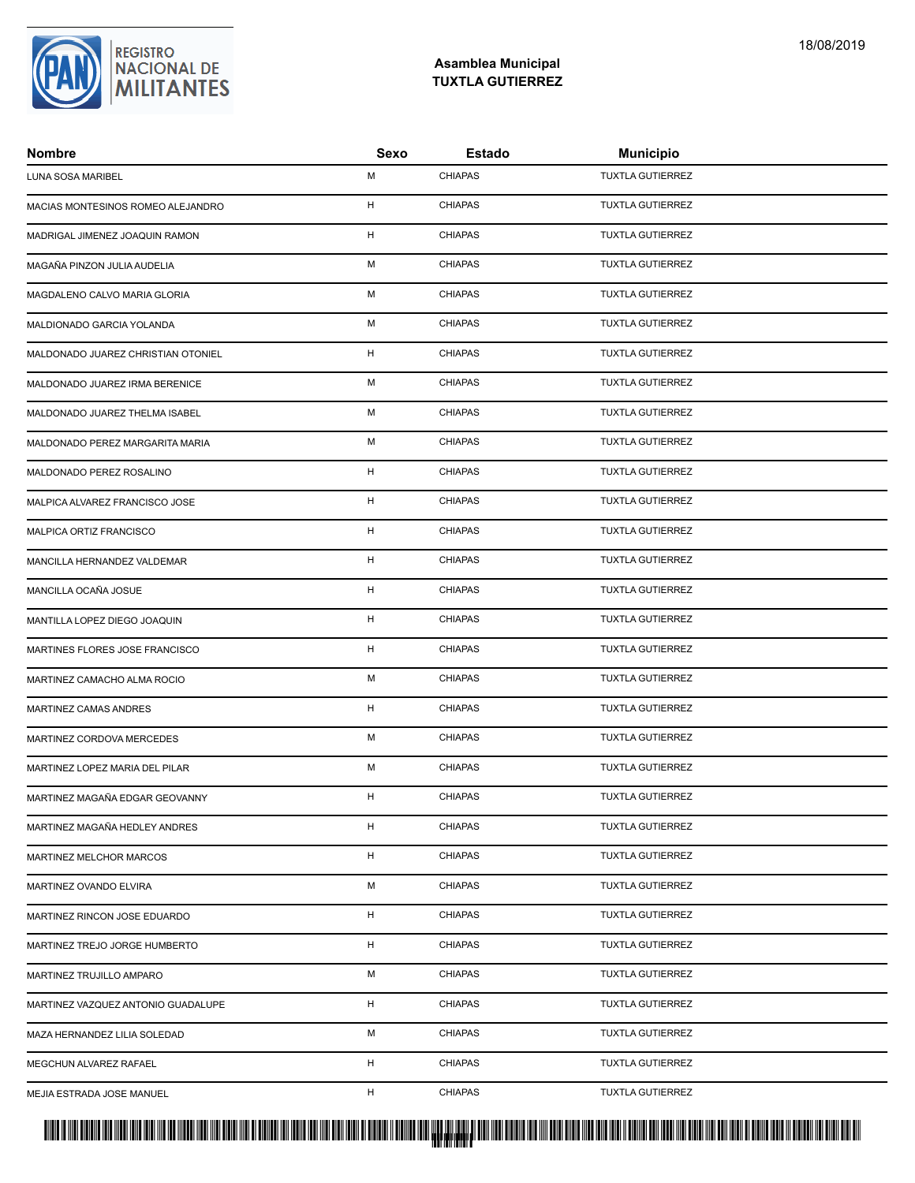

| <b>Nombre</b>                      | Sexo | Estado         | <b>Municipio</b>        |
|------------------------------------|------|----------------|-------------------------|
| LUNA SOSA MARIBEL                  | M    | <b>CHIAPAS</b> | <b>TUXTLA GUTIERREZ</b> |
| MACIAS MONTESINOS ROMEO ALEJANDRO  | H    | <b>CHIAPAS</b> | <b>TUXTLA GUTIERREZ</b> |
| MADRIGAL JIMENEZ JOAQUIN RAMON     | H    | <b>CHIAPAS</b> | <b>TUXTLA GUTIERREZ</b> |
| MAGAÑA PINZON JULIA AUDELIA        | M    | <b>CHIAPAS</b> | <b>TUXTLA GUTIERREZ</b> |
| MAGDALENO CALVO MARIA GLORIA       | м    | <b>CHIAPAS</b> | <b>TUXTLA GUTIERREZ</b> |
| MALDIONADO GARCIA YOLANDA          | M    | <b>CHIAPAS</b> | <b>TUXTLA GUTIERREZ</b> |
| MALDONADO JUAREZ CHRISTIAN OTONIEL | H    | <b>CHIAPAS</b> | <b>TUXTLA GUTIERREZ</b> |
| MALDONADO JUAREZ IRMA BERENICE     | M    | <b>CHIAPAS</b> | <b>TUXTLA GUTIERREZ</b> |
| MALDONADO JUAREZ THELMA ISABEL     | M    | <b>CHIAPAS</b> | <b>TUXTLA GUTIERREZ</b> |
| MALDONADO PEREZ MARGARITA MARIA    | м    | <b>CHIAPAS</b> | <b>TUXTLA GUTIERREZ</b> |
| MALDONADO PEREZ ROSALINO           | H    | <b>CHIAPAS</b> | <b>TUXTLA GUTIERREZ</b> |
| MALPICA ALVAREZ FRANCISCO JOSE     | H    | <b>CHIAPAS</b> | <b>TUXTLA GUTIERREZ</b> |
| MALPICA ORTIZ FRANCISCO            | H    | <b>CHIAPAS</b> | <b>TUXTLA GUTIERREZ</b> |
| MANCILLA HERNANDEZ VALDEMAR        | H    | <b>CHIAPAS</b> | <b>TUXTLA GUTIERREZ</b> |
| MANCILLA OCAÑA JOSUE               | H    | <b>CHIAPAS</b> | <b>TUXTLA GUTIERREZ</b> |
| MANTILLA LOPEZ DIEGO JOAQUIN       | H    | <b>CHIAPAS</b> | <b>TUXTLA GUTIERREZ</b> |
| MARTINES FLORES JOSE FRANCISCO     | H    | <b>CHIAPAS</b> | <b>TUXTLA GUTIERREZ</b> |
| MARTINEZ CAMACHO ALMA ROCIO        | M    | <b>CHIAPAS</b> | <b>TUXTLA GUTIERREZ</b> |
| MARTINEZ CAMAS ANDRES              | H    | <b>CHIAPAS</b> | <b>TUXTLA GUTIERREZ</b> |
| MARTINEZ CORDOVA MERCEDES          | M    | <b>CHIAPAS</b> | <b>TUXTLA GUTIERREZ</b> |
| MARTINEZ LOPEZ MARIA DEL PILAR     | M    | <b>CHIAPAS</b> | <b>TUXTLA GUTIERREZ</b> |
| MARTINEZ MAGAÑA EDGAR GEOVANNY     | H    | <b>CHIAPAS</b> | <b>TUXTLA GUTIERREZ</b> |
| MARTINEZ MAGAÑA HEDLEY ANDRES      | H    | <b>CHIAPAS</b> | <b>TUXTLA GUTIERREZ</b> |
| MARTINEZ MELCHOR MARCOS            | H    | <b>CHIAPAS</b> | <b>TUXTLA GUTIERREZ</b> |
| MARTINEZ OVANDO ELVIRA             | М    | <b>CHIAPAS</b> | <b>TUXTLA GUTIERREZ</b> |
| MARTINEZ RINCON JOSE EDUARDO       | H    | <b>CHIAPAS</b> | <b>TUXTLA GUTIERREZ</b> |
| MARTINEZ TREJO JORGE HUMBERTO      | H    | <b>CHIAPAS</b> | <b>TUXTLA GUTIERREZ</b> |
| MARTINEZ TRUJILLO AMPARO           | M    | <b>CHIAPAS</b> | <b>TUXTLA GUTIERREZ</b> |
| MARTINEZ VAZQUEZ ANTONIO GUADALUPE | H    | <b>CHIAPAS</b> | <b>TUXTLA GUTIERREZ</b> |
| MAZA HERNANDEZ LILIA SOLEDAD       | м    | <b>CHIAPAS</b> | <b>TUXTLA GUTIERREZ</b> |
| MEGCHUN ALVAREZ RAFAEL             | H    | <b>CHIAPAS</b> | <b>TUXTLA GUTIERREZ</b> |
| MEJIA ESTRADA JOSE MANUEL          | H    | <b>CHIAPAS</b> | <b>TUXTLA GUTIERREZ</b> |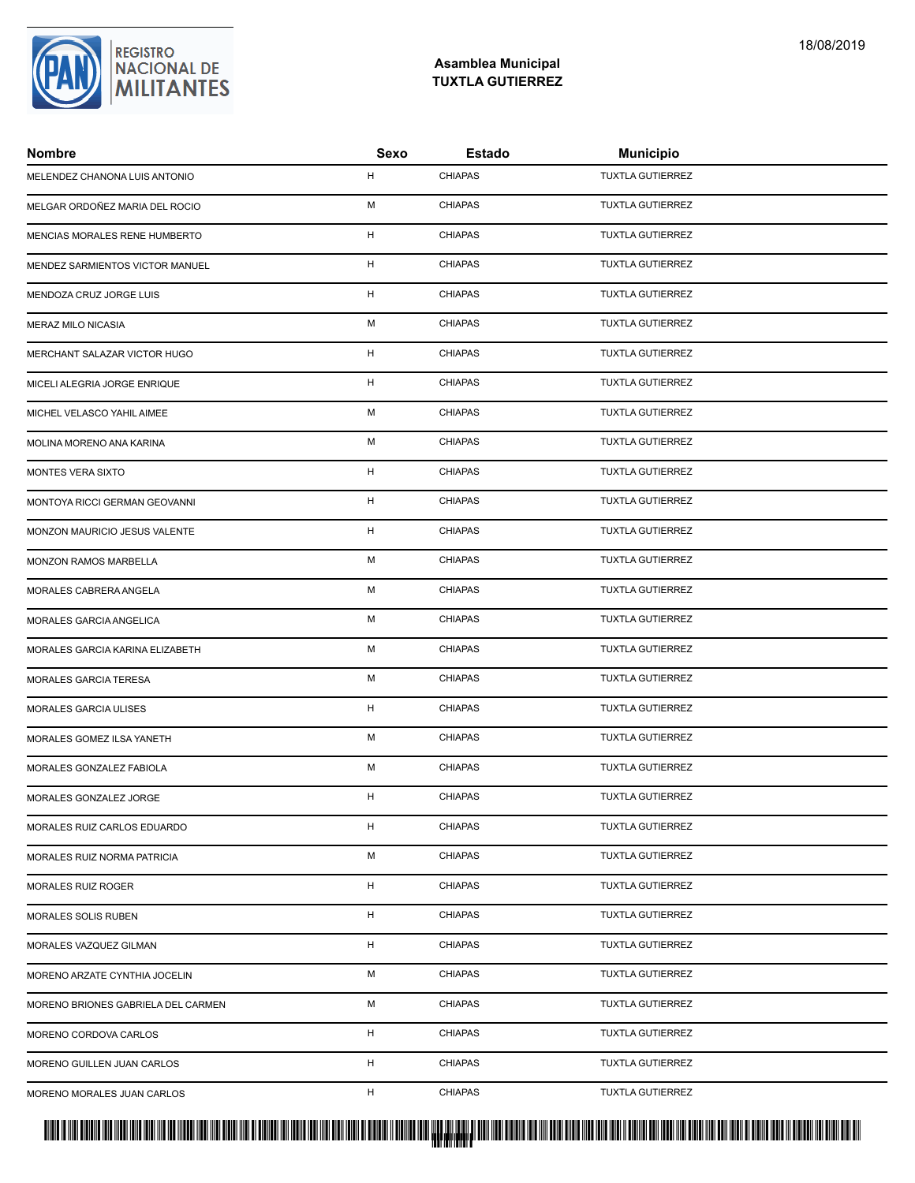### **Asamblea Municipal TUXTLA GUTIERREZ**

| <b>Nombre</b>                      | Sexo | Estado         | <b>Municipio</b>        |
|------------------------------------|------|----------------|-------------------------|
| MELENDEZ CHANONA LUIS ANTONIO      | H    | <b>CHIAPAS</b> | <b>TUXTLA GUTIERREZ</b> |
| MELGAR ORDOÑEZ MARIA DEL ROCIO     | M    | <b>CHIAPAS</b> | <b>TUXTLA GUTIERREZ</b> |
| MENCIAS MORALES RENE HUMBERTO      | H    | <b>CHIAPAS</b> | <b>TUXTLA GUTIERREZ</b> |
| MENDEZ SARMIENTOS VICTOR MANUEL    | H    | <b>CHIAPAS</b> | <b>TUXTLA GUTIERREZ</b> |
| MENDOZA CRUZ JORGE LUIS            | H    | <b>CHIAPAS</b> | <b>TUXTLA GUTIERREZ</b> |
| MERAZ MILO NICASIA                 | M    | <b>CHIAPAS</b> | <b>TUXTLA GUTIERREZ</b> |
| MERCHANT SALAZAR VICTOR HUGO       | H    | <b>CHIAPAS</b> | <b>TUXTLA GUTIERREZ</b> |
| MICELI ALEGRIA JORGE ENRIQUE       | H    | <b>CHIAPAS</b> | <b>TUXTLA GUTIERREZ</b> |
| MICHEL VELASCO YAHIL AIMEE         | M    | <b>CHIAPAS</b> | <b>TUXTLA GUTIERREZ</b> |
| MOLINA MORENO ANA KARINA           | М    | <b>CHIAPAS</b> | <b>TUXTLA GUTIERREZ</b> |
| MONTES VERA SIXTO                  | H    | <b>CHIAPAS</b> | <b>TUXTLA GUTIERREZ</b> |
| MONTOYA RICCI GERMAN GEOVANNI      | H    | <b>CHIAPAS</b> | <b>TUXTLA GUTIERREZ</b> |
| MONZON MAURICIO JESUS VALENTE      | H    | <b>CHIAPAS</b> | <b>TUXTLA GUTIERREZ</b> |
| MONZON RAMOS MARBELLA              | M    | <b>CHIAPAS</b> | <b>TUXTLA GUTIERREZ</b> |
| MORALES CABRERA ANGELA             | м    | <b>CHIAPAS</b> | <b>TUXTLA GUTIERREZ</b> |
| MORALES GARCIA ANGELICA            | M    | <b>CHIAPAS</b> | <b>TUXTLA GUTIERREZ</b> |
| MORALES GARCIA KARINA ELIZABETH    | M    | <b>CHIAPAS</b> | <b>TUXTLA GUTIERREZ</b> |
| MORALES GARCIA TERESA              | M    | <b>CHIAPAS</b> | <b>TUXTLA GUTIERREZ</b> |
| MORALES GARCIA ULISES              | H    | <b>CHIAPAS</b> | TUXTLA GUTIERREZ        |
| MORALES GOMEZ ILSA YANETH          | M    | <b>CHIAPAS</b> | <b>TUXTLA GUTIERREZ</b> |
| MORALES GONZALEZ FABIOLA           | M    | <b>CHIAPAS</b> | <b>TUXTLA GUTIERREZ</b> |
| MORALES GONZALEZ JORGE             | H    | <b>CHIAPAS</b> | <b>TUXTLA GUTIERREZ</b> |
| MORALES RUIZ CARLOS EDUARDO        | H    | <b>CHIAPAS</b> | <b>TUXTLA GUTIERREZ</b> |
| MORALES RUIZ NORMA PATRICIA        | м    | <b>CHIAPAS</b> | <b>TUXTLA GUTIERREZ</b> |
| <b>MORALES RUIZ ROGER</b>          | H    | <b>CHIAPAS</b> | <b>TUXTLA GUTIERREZ</b> |
| MORALES SOLIS RUBEN                | H    | <b>CHIAPAS</b> | <b>TUXTLA GUTIERREZ</b> |
| MORALES VAZQUEZ GILMAN             | H    | <b>CHIAPAS</b> | <b>TUXTLA GUTIERREZ</b> |
| MORENO ARZATE CYNTHIA JOCELIN      | M    | <b>CHIAPAS</b> | <b>TUXTLA GUTIERREZ</b> |
| MORENO BRIONES GABRIELA DEL CARMEN | М    | <b>CHIAPAS</b> | <b>TUXTLA GUTIERREZ</b> |
| MORENO CORDOVA CARLOS              | H    | <b>CHIAPAS</b> | <b>TUXTLA GUTIERREZ</b> |
| MORENO GUILLEN JUAN CARLOS         | H    | <b>CHIAPAS</b> | <b>TUXTLA GUTIERREZ</b> |
| MORENO MORALES JUAN CARLOS         | H    | <b>CHIAPAS</b> | <b>TUXTLA GUTIERREZ</b> |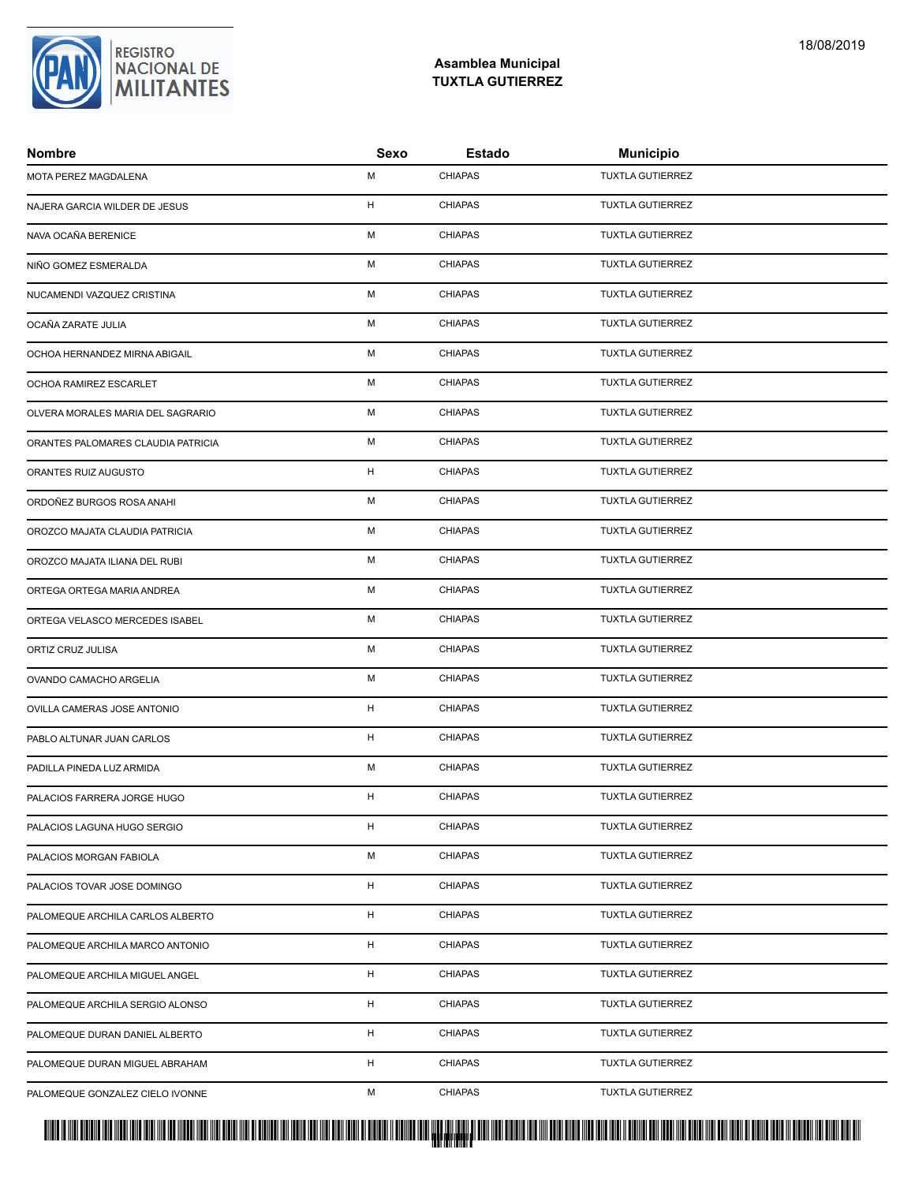### **Asamblea Municipal TUXTLA GUTIERREZ**

| <b>Nombre</b>                      | Sexo | <b>Estado</b>  | <b>Municipio</b>        |
|------------------------------------|------|----------------|-------------------------|
| MOTA PEREZ MAGDALENA               | M    | <b>CHIAPAS</b> | <b>TUXTLA GUTIERREZ</b> |
| NAJERA GARCIA WILDER DE JESUS      | H    | <b>CHIAPAS</b> | <b>TUXTLA GUTIERREZ</b> |
| NAVA OCAÑA BERENICE                | M    | <b>CHIAPAS</b> | <b>TUXTLA GUTIERREZ</b> |
| NIÑO GOMEZ ESMERALDA               | M    | <b>CHIAPAS</b> | <b>TUXTLA GUTIERREZ</b> |
| NUCAMENDI VAZQUEZ CRISTINA         | м    | <b>CHIAPAS</b> | <b>TUXTLA GUTIERREZ</b> |
| OCAÑA ZARATE JULIA                 | M    | <b>CHIAPAS</b> | <b>TUXTLA GUTIERREZ</b> |
| OCHOA HERNANDEZ MIRNA ABIGAIL      | M    | <b>CHIAPAS</b> | <b>TUXTLA GUTIERREZ</b> |
| OCHOA RAMIREZ ESCARLET             | M    | <b>CHIAPAS</b> | <b>TUXTLA GUTIERREZ</b> |
| OLVERA MORALES MARIA DEL SAGRARIO  | M    | <b>CHIAPAS</b> | <b>TUXTLA GUTIERREZ</b> |
| ORANTES PALOMARES CLAUDIA PATRICIA | M    | <b>CHIAPAS</b> | <b>TUXTLA GUTIERREZ</b> |
| ORANTES RUIZ AUGUSTO               | H    | <b>CHIAPAS</b> | <b>TUXTLA GUTIERREZ</b> |
| ORDOÑEZ BURGOS ROSA ANAHI          | M    | <b>CHIAPAS</b> | <b>TUXTLA GUTIERREZ</b> |
| OROZCO MAJATA CLAUDIA PATRICIA     | M    | <b>CHIAPAS</b> | <b>TUXTLA GUTIERREZ</b> |
| OROZCO MAJATA ILIANA DEL RUBI      | M    | <b>CHIAPAS</b> | <b>TUXTLA GUTIERREZ</b> |
| ORTEGA ORTEGA MARIA ANDREA         | м    | <b>CHIAPAS</b> | <b>TUXTLA GUTIERREZ</b> |
| ORTEGA VELASCO MERCEDES ISABEL     | M    | <b>CHIAPAS</b> | <b>TUXTLA GUTIERREZ</b> |
| ORTIZ CRUZ JULISA                  | M    | <b>CHIAPAS</b> | <b>TUXTLA GUTIERREZ</b> |
| OVANDO CAMACHO ARGELIA             | M    | <b>CHIAPAS</b> | <b>TUXTLA GUTIERREZ</b> |
| OVILLA CAMERAS JOSE ANTONIO        | H    | <b>CHIAPAS</b> | <b>TUXTLA GUTIERREZ</b> |
| PABLO ALTUNAR JUAN CARLOS          | H    | <b>CHIAPAS</b> | <b>TUXTLA GUTIERREZ</b> |
| PADILLA PINEDA LUZ ARMIDA          | M    | <b>CHIAPAS</b> | <b>TUXTLA GUTIERREZ</b> |
| PALACIOS FARRERA JORGE HUGO        | H    | <b>CHIAPAS</b> | <b>TUXTLA GUTIERREZ</b> |
| PALACIOS LAGUNA HUGO SERGIO        | H    | <b>CHIAPAS</b> | <b>TUXTLA GUTIERREZ</b> |
| PALACIOS MORGAN FABIOLA            | м    | <b>CHIAPAS</b> | <b>TUXTLA GUTIERREZ</b> |
| PALACIOS TOVAR JOSE DOMINGO        | H    | <b>CHIAPAS</b> | <b>TUXTLA GUTIERREZ</b> |
| PALOMEQUE ARCHILA CARLOS ALBERTO   | H    | <b>CHIAPAS</b> | <b>TUXTLA GUTIERREZ</b> |
| PALOMEQUE ARCHILA MARCO ANTONIO    | H    | <b>CHIAPAS</b> | <b>TUXTLA GUTIERREZ</b> |
| PALOMEQUE ARCHILA MIGUEL ANGEL     | H    | <b>CHIAPAS</b> | <b>TUXTLA GUTIERREZ</b> |
| PALOMEQUE ARCHILA SERGIO ALONSO    | H    | <b>CHIAPAS</b> | <b>TUXTLA GUTIERREZ</b> |
| PALOMEQUE DURAN DANIEL ALBERTO     | H    | <b>CHIAPAS</b> | <b>TUXTLA GUTIERREZ</b> |
| PALOMEQUE DURAN MIGUEL ABRAHAM     | H    | <b>CHIAPAS</b> | <b>TUXTLA GUTIERREZ</b> |
| PALOMEQUE GONZALEZ CIELO IVONNE    | М    | <b>CHIAPAS</b> | TUXTLA GUTIERREZ        |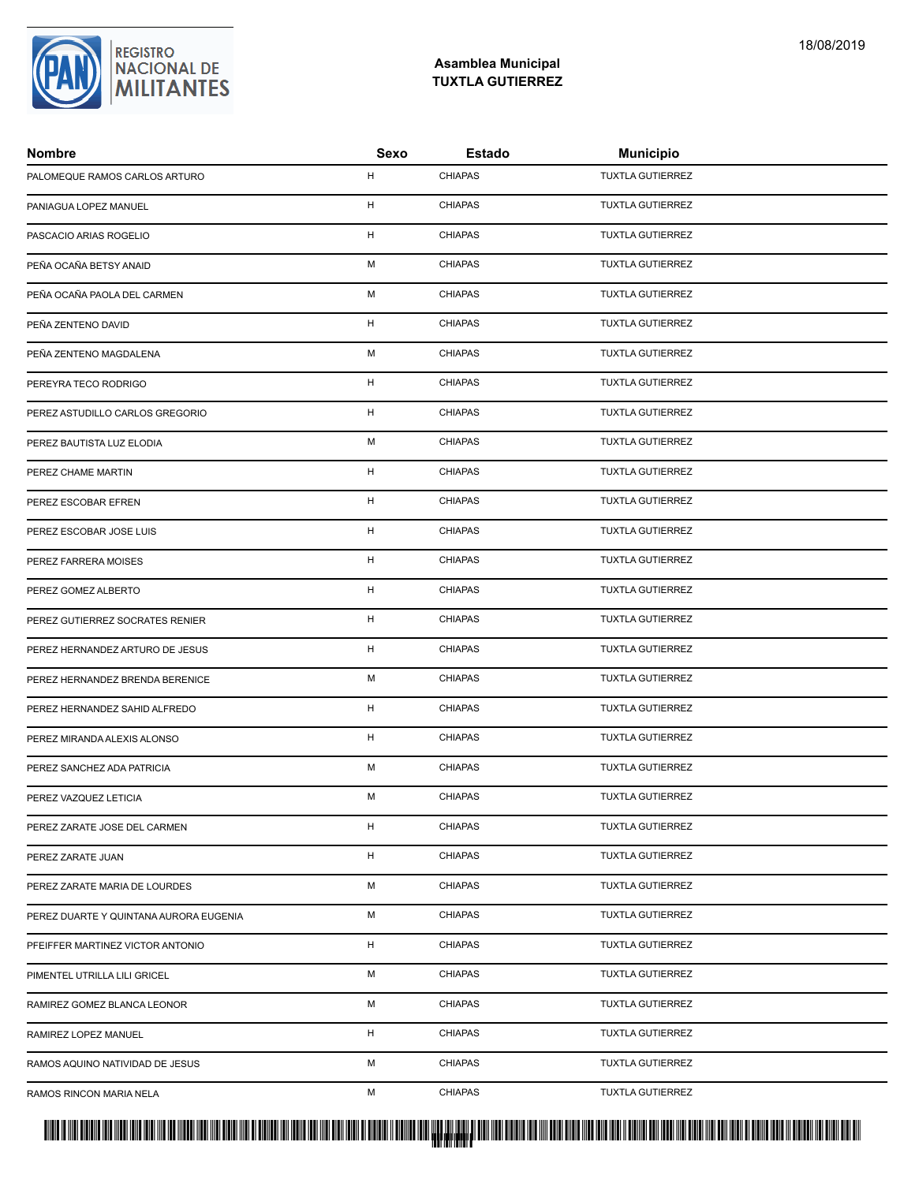

| <b>Nombre</b>                          | Sexo | <b>Estado</b>  | <b>Municipio</b>        |
|----------------------------------------|------|----------------|-------------------------|
| PALOMEQUE RAMOS CARLOS ARTURO          | H    | <b>CHIAPAS</b> | <b>TUXTLA GUTIERREZ</b> |
| PANIAGUA LOPEZ MANUEL                  | H    | <b>CHIAPAS</b> | <b>TUXTLA GUTIERREZ</b> |
| PASCACIO ARIAS ROGELIO                 | H    | <b>CHIAPAS</b> | <b>TUXTLA GUTIERREZ</b> |
| PEÑA OCAÑA BETSY ANAID                 | M    | <b>CHIAPAS</b> | <b>TUXTLA GUTIERREZ</b> |
| PEÑA OCAÑA PAOLA DEL CARMEN            | м    | <b>CHIAPAS</b> | <b>TUXTLA GUTIERREZ</b> |
| PEÑA ZENTENO DAVID                     | H    | <b>CHIAPAS</b> | <b>TUXTLA GUTIERREZ</b> |
| PEÑA ZENTENO MAGDALENA                 | M    | <b>CHIAPAS</b> | <b>TUXTLA GUTIERREZ</b> |
| PEREYRA TECO RODRIGO                   | H    | <b>CHIAPAS</b> | <b>TUXTLA GUTIERREZ</b> |
| PEREZ ASTUDILLO CARLOS GREGORIO        | H    | <b>CHIAPAS</b> | <b>TUXTLA GUTIERREZ</b> |
| PEREZ BAUTISTA LUZ ELODIA              | М    | <b>CHIAPAS</b> | <b>TUXTLA GUTIERREZ</b> |
| PEREZ CHAME MARTIN                     | H    | <b>CHIAPAS</b> | <b>TUXTLA GUTIERREZ</b> |
| PEREZ ESCOBAR EFREN                    | H    | <b>CHIAPAS</b> | <b>TUXTLA GUTIERREZ</b> |
| PEREZ ESCOBAR JOSE LUIS                | H    | <b>CHIAPAS</b> | <b>TUXTLA GUTIERREZ</b> |
| PEREZ FARRERA MOISES                   | H    | <b>CHIAPAS</b> | <b>TUXTLA GUTIERREZ</b> |
| PEREZ GOMEZ ALBERTO                    | H    | <b>CHIAPAS</b> | <b>TUXTLA GUTIERREZ</b> |
| PEREZ GUTIERREZ SOCRATES RENIER        | H    | <b>CHIAPAS</b> | <b>TUXTLA GUTIERREZ</b> |
| PEREZ HERNANDEZ ARTURO DE JESUS        | H    | <b>CHIAPAS</b> | <b>TUXTLA GUTIERREZ</b> |
| PEREZ HERNANDEZ BRENDA BERENICE        | M    | <b>CHIAPAS</b> | <b>TUXTLA GUTIERREZ</b> |
| PEREZ HERNANDEZ SAHID ALFREDO          | H    | <b>CHIAPAS</b> | <b>TUXTLA GUTIERREZ</b> |
| PEREZ MIRANDA ALEXIS ALONSO            | H    | <b>CHIAPAS</b> | <b>TUXTLA GUTIERREZ</b> |
| PEREZ SANCHEZ ADA PATRICIA             | M    | <b>CHIAPAS</b> | <b>TUXTLA GUTIERREZ</b> |
| PEREZ VAZQUEZ LETICIA                  | м    | <b>CHIAPAS</b> | <b>TUXTLA GUTIERREZ</b> |
| PEREZ ZARATE JOSE DEL CARMEN           | H    | <b>CHIAPAS</b> | <b>TUXTLA GUTIERREZ</b> |
| PEREZ ZARATE JUAN                      | H    | <b>CHIAPAS</b> | <b>TUXTLA GUTIERREZ</b> |
| PEREZ ZARATE MARIA DE LOURDES          | М    | <b>CHIAPAS</b> | <b>TUXTLA GUTIERREZ</b> |
| PEREZ DUARTE Y QUINTANA AURORA EUGENIA | М    | <b>CHIAPAS</b> | <b>TUXTLA GUTIERREZ</b> |
| PFEIFFER MARTINEZ VICTOR ANTONIO       | H    | <b>CHIAPAS</b> | <b>TUXTLA GUTIERREZ</b> |
| PIMENTEL UTRILLA LILI GRICEL           | M    | <b>CHIAPAS</b> | <b>TUXTLA GUTIERREZ</b> |
| RAMIREZ GOMEZ BLANCA LEONOR            | М    | <b>CHIAPAS</b> | <b>TUXTLA GUTIERREZ</b> |
| RAMIREZ LOPEZ MANUEL                   | H    | <b>CHIAPAS</b> | <b>TUXTLA GUTIERREZ</b> |
| RAMOS AQUINO NATIVIDAD DE JESUS        | М    | <b>CHIAPAS</b> | <b>TUXTLA GUTIERREZ</b> |
| RAMOS RINCON MARIA NELA                | М    | <b>CHIAPAS</b> | <b>TUXTLA GUTIERREZ</b> |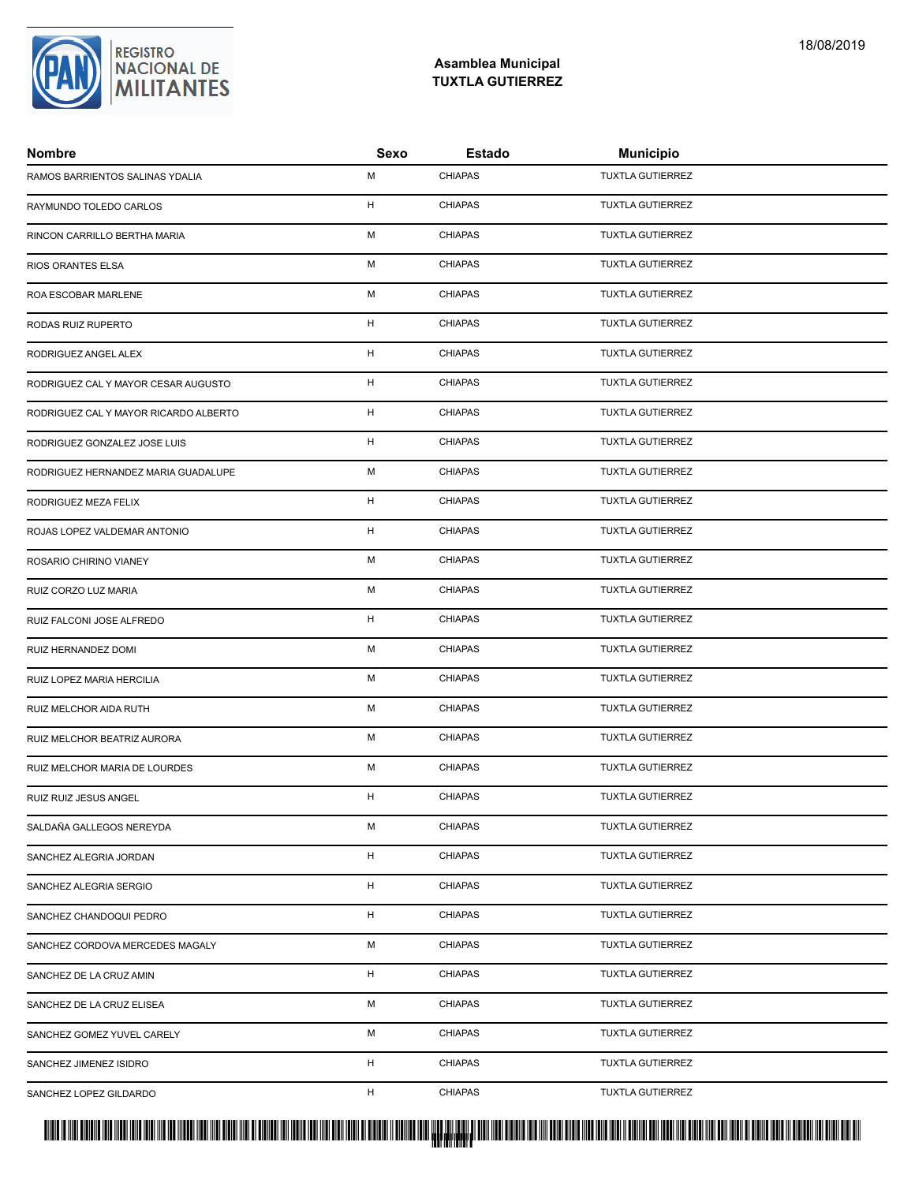### **Asamblea Municipal TUXTLA GUTIERREZ**

| <b>Nombre</b>                         | Sexo | Estado         | <b>Municipio</b>        |
|---------------------------------------|------|----------------|-------------------------|
| RAMOS BARRIENTOS SALINAS YDALIA       | M    | <b>CHIAPAS</b> | <b>TUXTLA GUTIERREZ</b> |
| RAYMUNDO TOLEDO CARLOS                | H    | <b>CHIAPAS</b> | <b>TUXTLA GUTIERREZ</b> |
| RINCON CARRILLO BERTHA MARIA          | M    | <b>CHIAPAS</b> | <b>TUXTLA GUTIERREZ</b> |
| RIOS ORANTES ELSA                     | M    | <b>CHIAPAS</b> | <b>TUXTLA GUTIERREZ</b> |
| ROA ESCOBAR MARLENE                   | м    | <b>CHIAPAS</b> | <b>TUXTLA GUTIERREZ</b> |
| RODAS RUIZ RUPERTO                    | H    | <b>CHIAPAS</b> | <b>TUXTLA GUTIERREZ</b> |
| RODRIGUEZ ANGEL ALEX                  | H    | <b>CHIAPAS</b> | <b>TUXTLA GUTIERREZ</b> |
| RODRIGUEZ CAL Y MAYOR CESAR AUGUSTO   | H    | <b>CHIAPAS</b> | <b>TUXTLA GUTIERREZ</b> |
| RODRIGUEZ CAL Y MAYOR RICARDO ALBERTO | H    | <b>CHIAPAS</b> | <b>TUXTLA GUTIERREZ</b> |
| RODRIGUEZ GONZALEZ JOSE LUIS          | H    | <b>CHIAPAS</b> | <b>TUXTLA GUTIERREZ</b> |
| RODRIGUEZ HERNANDEZ MARIA GUADALUPE   | M    | <b>CHIAPAS</b> | <b>TUXTLA GUTIERREZ</b> |
| RODRIGUEZ MEZA FELIX                  | H    | <b>CHIAPAS</b> | <b>TUXTLA GUTIERREZ</b> |
| ROJAS LOPEZ VALDEMAR ANTONIO          | H    | <b>CHIAPAS</b> | <b>TUXTLA GUTIERREZ</b> |
| ROSARIO CHIRINO VIANEY                | M    | <b>CHIAPAS</b> | <b>TUXTLA GUTIERREZ</b> |
| RUIZ CORZO LUZ MARIA                  | м    | <b>CHIAPAS</b> | <b>TUXTLA GUTIERREZ</b> |
| RUIZ FALCONI JOSE ALFREDO             | H    | <b>CHIAPAS</b> | <b>TUXTLA GUTIERREZ</b> |
| RUIZ HERNANDEZ DOMI                   | M    | <b>CHIAPAS</b> | <b>TUXTLA GUTIERREZ</b> |
| RUIZ LOPEZ MARIA HERCILIA             | M    | <b>CHIAPAS</b> | <b>TUXTLA GUTIERREZ</b> |
| RUIZ MELCHOR AIDA RUTH                | M    | <b>CHIAPAS</b> | TUXTLA GUTIERREZ        |
| RUIZ MELCHOR BEATRIZ AURORA           | M    | <b>CHIAPAS</b> | <b>TUXTLA GUTIERREZ</b> |
| RUIZ MELCHOR MARIA DE LOURDES         | M    | <b>CHIAPAS</b> | <b>TUXTLA GUTIERREZ</b> |
| RUIZ RUIZ JESUS ANGEL                 | H    | <b>CHIAPAS</b> | <b>TUXTLA GUTIERREZ</b> |
| SALDAÑA GALLEGOS NEREYDA              | M    | <b>CHIAPAS</b> | <b>TUXTLA GUTIERREZ</b> |
| SANCHEZ ALEGRIA JORDAN                | H    | <b>CHIAPAS</b> | <b>TUXTLA GUTIERREZ</b> |
| SANCHEZ ALEGRIA SERGIO                | H    | <b>CHIAPAS</b> | <b>TUXTLA GUTIERREZ</b> |
| SANCHEZ CHANDOQUI PEDRO               | H    | <b>CHIAPAS</b> | <b>TUXTLA GUTIERREZ</b> |
| SANCHEZ CORDOVA MERCEDES MAGALY       | M    | <b>CHIAPAS</b> | <b>TUXTLA GUTIERREZ</b> |
| SANCHEZ DE LA CRUZ AMIN               | H    | <b>CHIAPAS</b> | <b>TUXTLA GUTIERREZ</b> |
| SANCHEZ DE LA CRUZ ELISEA             | М    | <b>CHIAPAS</b> | <b>TUXTLA GUTIERREZ</b> |
| SANCHEZ GOMEZ YUVEL CARELY            | М    | <b>CHIAPAS</b> | <b>TUXTLA GUTIERREZ</b> |
| SANCHEZ JIMENEZ ISIDRO                | H    | <b>CHIAPAS</b> | <b>TUXTLA GUTIERREZ</b> |
| SANCHEZ LOPEZ GILDARDO                | H    | <b>CHIAPAS</b> | TUXTLA GUTIERREZ        |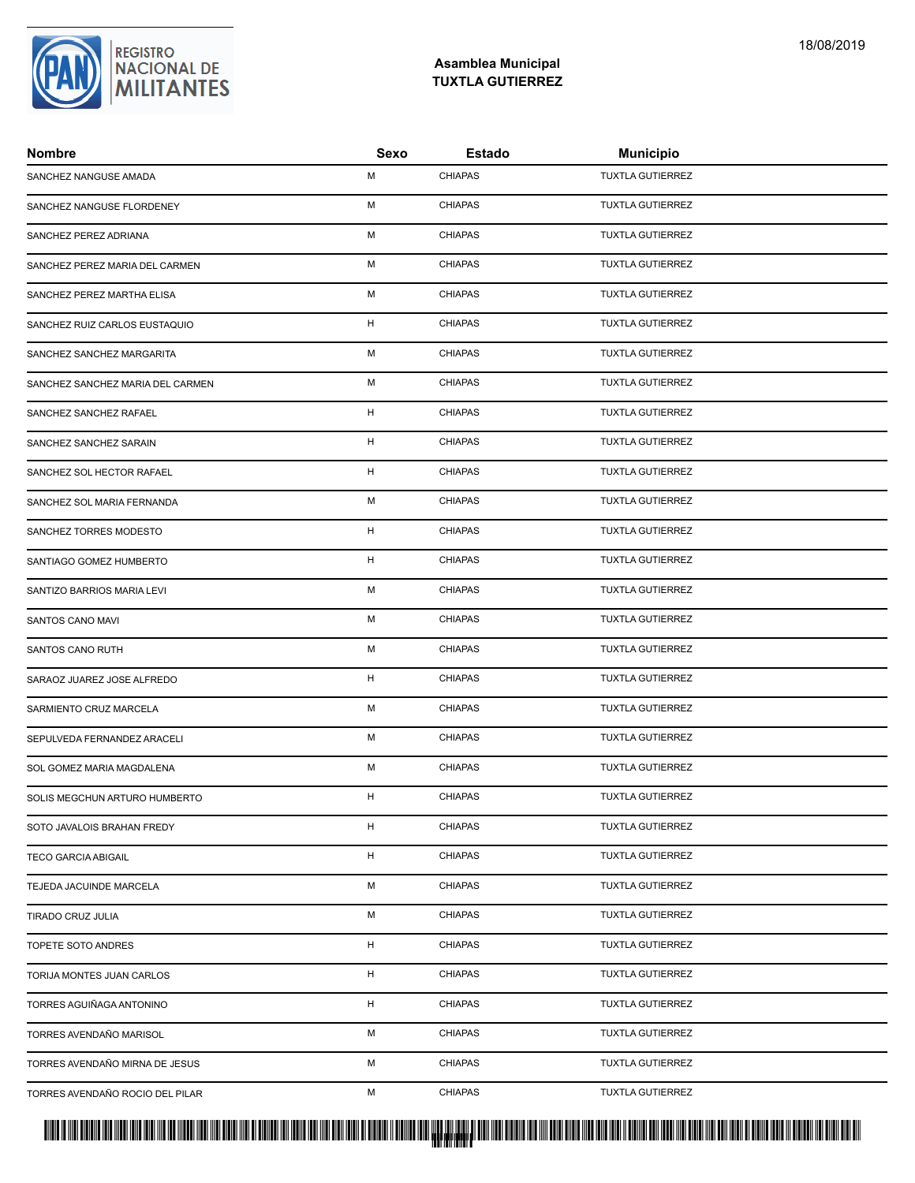

| <b>Nombre</b>                    | Sexo | Estado         | <b>Municipio</b>        |
|----------------------------------|------|----------------|-------------------------|
| SANCHEZ NANGUSE AMADA            | M    | <b>CHIAPAS</b> | <b>TUXTLA GUTIERREZ</b> |
| SANCHEZ NANGUSE FLORDENEY        | M    | <b>CHIAPAS</b> | <b>TUXTLA GUTIERREZ</b> |
| SANCHEZ PEREZ ADRIANA            | M    | <b>CHIAPAS</b> | <b>TUXTLA GUTIERREZ</b> |
| SANCHEZ PEREZ MARIA DEL CARMEN   | M    | <b>CHIAPAS</b> | <b>TUXTLA GUTIERREZ</b> |
| SANCHEZ PEREZ MARTHA ELISA       | м    | <b>CHIAPAS</b> | <b>TUXTLA GUTIERREZ</b> |
| SANCHEZ RUIZ CARLOS EUSTAQUIO    | H    | <b>CHIAPAS</b> | <b>TUXTLA GUTIERREZ</b> |
| SANCHEZ SANCHEZ MARGARITA        | M    | <b>CHIAPAS</b> | <b>TUXTLA GUTIERREZ</b> |
| SANCHEZ SANCHEZ MARIA DEL CARMEN | M    | <b>CHIAPAS</b> | <b>TUXTLA GUTIERREZ</b> |
| SANCHEZ SANCHEZ RAFAEL           | H    | <b>CHIAPAS</b> | <b>TUXTLA GUTIERREZ</b> |
| SANCHEZ SANCHEZ SARAIN           | H    | <b>CHIAPAS</b> | <b>TUXTLA GUTIERREZ</b> |
| SANCHEZ SOL HECTOR RAFAEL        | H    | <b>CHIAPAS</b> | <b>TUXTLA GUTIERREZ</b> |
| SANCHEZ SOL MARIA FERNANDA       | M    | <b>CHIAPAS</b> | <b>TUXTLA GUTIERREZ</b> |
| SANCHEZ TORRES MODESTO           | H    | <b>CHIAPAS</b> | <b>TUXTLA GUTIERREZ</b> |
| SANTIAGO GOMEZ HUMBERTO          | H    | <b>CHIAPAS</b> | <b>TUXTLA GUTIERREZ</b> |
| SANTIZO BARRIOS MARIA LEVI       | м    | <b>CHIAPAS</b> | <b>TUXTLA GUTIERREZ</b> |
| SANTOS CANO MAVI                 | M    | <b>CHIAPAS</b> | <b>TUXTLA GUTIERREZ</b> |
| SANTOS CANO RUTH                 | M    | <b>CHIAPAS</b> | <b>TUXTLA GUTIERREZ</b> |
| SARAOZ JUAREZ JOSE ALFREDO       | H    | <b>CHIAPAS</b> | <b>TUXTLA GUTIERREZ</b> |
| SARMIENTO CRUZ MARCELA           | M    | <b>CHIAPAS</b> | <b>TUXTLA GUTIERREZ</b> |
| SEPULVEDA FERNANDEZ ARACELI      | M    | <b>CHIAPAS</b> | <b>TUXTLA GUTIERREZ</b> |
| SOL GOMEZ MARIA MAGDALENA        | M    | <b>CHIAPAS</b> | <b>TUXTLA GUTIERREZ</b> |
| SOLIS MEGCHUN ARTURO HUMBERTO    | H    | <b>CHIAPAS</b> | <b>TUXTLA GUTIERREZ</b> |
| SOTO JAVALOIS BRAHAN FREDY       | H    | <b>CHIAPAS</b> | <b>TUXTLA GUTIERREZ</b> |
| <b>TECO GARCIA ABIGAIL</b>       | H    | <b>CHIAPAS</b> | <b>TUXTLA GUTIERREZ</b> |
| TEJEDA JACUINDE MARCELA          | М    | <b>CHIAPAS</b> | <b>TUXTLA GUTIERREZ</b> |
| TIRADO CRUZ JULIA                | М    | <b>CHIAPAS</b> | <b>TUXTLA GUTIERREZ</b> |
| TOPETE SOTO ANDRES               | H    | <b>CHIAPAS</b> | <b>TUXTLA GUTIERREZ</b> |
| TORIJA MONTES JUAN CARLOS        | H    | <b>CHIAPAS</b> | <b>TUXTLA GUTIERREZ</b> |
| TORRES AGUIÑAGA ANTONINO         | H    | <b>CHIAPAS</b> | <b>TUXTLA GUTIERREZ</b> |
| TORRES AVENDAÑO MARISOL          | М    | <b>CHIAPAS</b> | <b>TUXTLA GUTIERREZ</b> |
| TORRES AVENDAÑO MIRNA DE JESUS   | М    | <b>CHIAPAS</b> | <b>TUXTLA GUTIERREZ</b> |
| TORRES AVENDAÑO ROCIO DEL PILAR  | M    | <b>CHIAPAS</b> | TUXTLA GUTIERREZ        |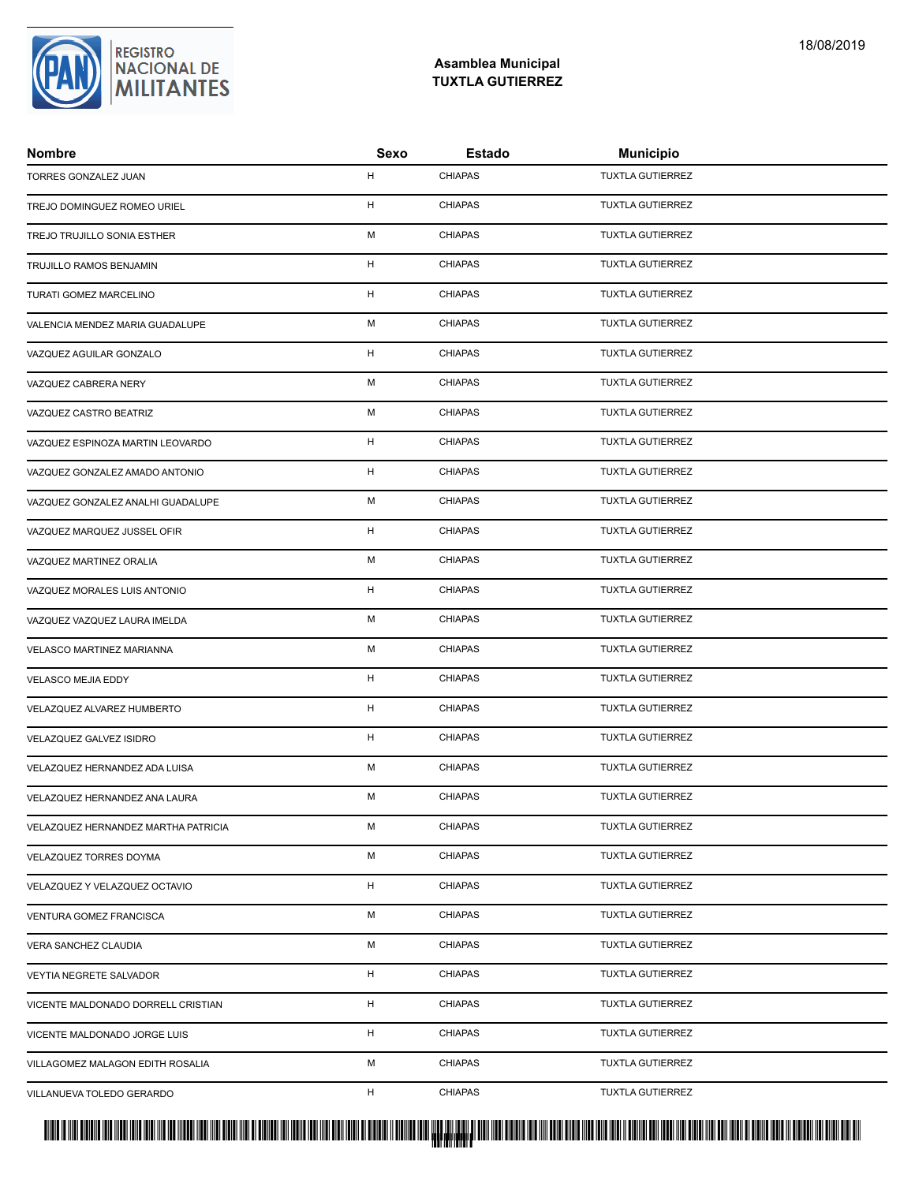

| <b>Nombre</b>                       | Sexo | <b>Estado</b>  | <b>Municipio</b>        |
|-------------------------------------|------|----------------|-------------------------|
| TORRES GONZALEZ JUAN                | H    | <b>CHIAPAS</b> | <b>TUXTLA GUTIERREZ</b> |
| TREJO DOMINGUEZ ROMEO URIEL         | H    | <b>CHIAPAS</b> | <b>TUXTLA GUTIERREZ</b> |
| TREJO TRUJILLO SONIA ESTHER         | M    | <b>CHIAPAS</b> | <b>TUXTLA GUTIERREZ</b> |
| TRUJILLO RAMOS BENJAMIN             | H    | <b>CHIAPAS</b> | <b>TUXTLA GUTIERREZ</b> |
| TURATI GOMEZ MARCELINO              | H    | <b>CHIAPAS</b> | <b>TUXTLA GUTIERREZ</b> |
| VALENCIA MENDEZ MARIA GUADALUPE     | M    | <b>CHIAPAS</b> | <b>TUXTLA GUTIERREZ</b> |
| VAZQUEZ AGUILAR GONZALO             | H    | <b>CHIAPAS</b> | <b>TUXTLA GUTIERREZ</b> |
| VAZQUEZ CABRERA NERY                | M    | <b>CHIAPAS</b> | <b>TUXTLA GUTIERREZ</b> |
| VAZQUEZ CASTRO BEATRIZ              | M    | <b>CHIAPAS</b> | <b>TUXTLA GUTIERREZ</b> |
| VAZQUEZ ESPINOZA MARTIN LEOVARDO    | H    | <b>CHIAPAS</b> | <b>TUXTLA GUTIERREZ</b> |
| VAZQUEZ GONZALEZ AMADO ANTONIO      | H    | <b>CHIAPAS</b> | <b>TUXTLA GUTIERREZ</b> |
| VAZQUEZ GONZALEZ ANALHI GUADALUPE   | M    | <b>CHIAPAS</b> | <b>TUXTLA GUTIERREZ</b> |
| VAZQUEZ MARQUEZ JUSSEL OFIR         | H    | <b>CHIAPAS</b> | <b>TUXTLA GUTIERREZ</b> |
| VAZQUEZ MARTINEZ ORALIA             | M    | <b>CHIAPAS</b> | <b>TUXTLA GUTIERREZ</b> |
| VAZQUEZ MORALES LUIS ANTONIO        | H    | <b>CHIAPAS</b> | <b>TUXTLA GUTIERREZ</b> |
| VAZQUEZ VAZQUEZ LAURA IMELDA        | M    | <b>CHIAPAS</b> | <b>TUXTLA GUTIERREZ</b> |
| VELASCO MARTINEZ MARIANNA           | M    | <b>CHIAPAS</b> | <b>TUXTLA GUTIERREZ</b> |
| VELASCO MEJIA EDDY                  | H    | <b>CHIAPAS</b> | <b>TUXTLA GUTIERREZ</b> |
| VELAZQUEZ ALVAREZ HUMBERTO          | H    | <b>CHIAPAS</b> | TUXTLA GUTIERREZ        |
| VELAZQUEZ GALVEZ ISIDRO             | H    | <b>CHIAPAS</b> | <b>TUXTLA GUTIERREZ</b> |
| VELAZQUEZ HERNANDEZ ADA LUISA       | M    | <b>CHIAPAS</b> | <b>TUXTLA GUTIERREZ</b> |
| VELAZQUEZ HERNANDEZ ANA LAURA       | м    | <b>CHIAPAS</b> | <b>TUXTLA GUTIERREZ</b> |
| VELAZQUEZ HERNANDEZ MARTHA PATRICIA | M    | <b>CHIAPAS</b> | <b>TUXTLA GUTIERREZ</b> |
| <b>VELAZQUEZ TORRES DOYMA</b>       | м    | <b>CHIAPAS</b> | <b>TUXTLA GUTIERREZ</b> |
| VELAZQUEZ Y VELAZQUEZ OCTAVIO       | H    | <b>CHIAPAS</b> | <b>TUXTLA GUTIERREZ</b> |
| VENTURA GOMEZ FRANCISCA             | М    | <b>CHIAPAS</b> | <b>TUXTLA GUTIERREZ</b> |
| VERA SANCHEZ CLAUDIA                | M    | <b>CHIAPAS</b> | <b>TUXTLA GUTIERREZ</b> |
| VEYTIA NEGRETE SALVADOR             | H    | <b>CHIAPAS</b> | <b>TUXTLA GUTIERREZ</b> |
| VICENTE MALDONADO DORRELL CRISTIAN  | H    | <b>CHIAPAS</b> | <b>TUXTLA GUTIERREZ</b> |
| VICENTE MALDONADO JORGE LUIS        | H    | <b>CHIAPAS</b> | <b>TUXTLA GUTIERREZ</b> |
| VILLAGOMEZ MALAGON EDITH ROSALIA    | М    | <b>CHIAPAS</b> | <b>TUXTLA GUTIERREZ</b> |
| VILLANUEVA TOLEDO GERARDO           | H    | <b>CHIAPAS</b> | <b>TUXTLA GUTIERREZ</b> |